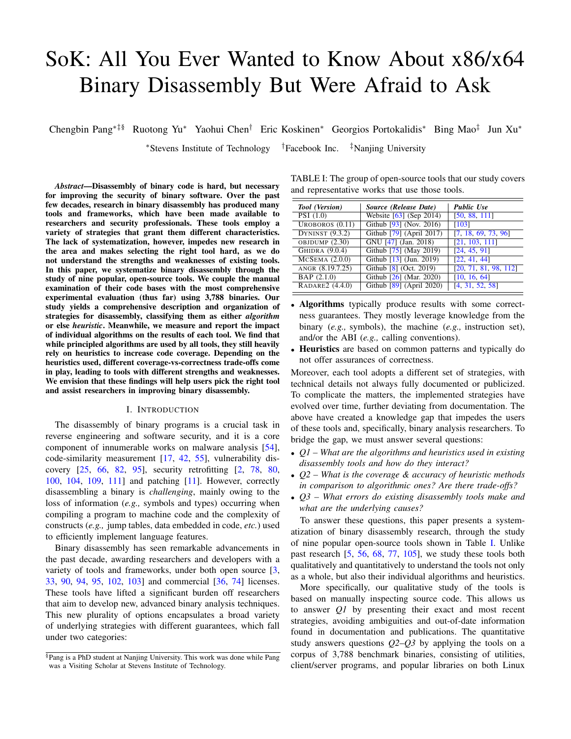# SoK: All You Ever Wanted to Know About x86/x64 Binary Disassembly But Were Afraid to Ask

Chengbin Pang∗‡§ Ruotong Yu<sup>∗</sup> Yaohui Chen† Eric Koskinen<sup>∗</sup> Georgios Portokalidis<sup>∗</sup> Bing Mao‡ Jun Xu<sup>∗</sup>

<sup>∗</sup>Stevens Institute of Technology †Facebook Inc. ‡Nanjing University

*Abstract*—Disassembly of binary code is hard, but necessary for improving the security of binary software. Over the past few decades, research in binary disassembly has produced many tools and frameworks, which have been made available to researchers and security professionals. These tools employ a variety of strategies that grant them different characteristics. The lack of systematization, however, impedes new research in the area and makes selecting the right tool hard, as we do not understand the strengths and weaknesses of existing tools. In this paper, we systematize binary disassembly through the study of nine popular, open-source tools. We couple the manual examination of their code bases with the most comprehensive experimental evaluation (thus far) using 3,788 binaries. Our study yields a comprehensive description and organization of strategies for disassembly, classifying them as either *algorithm* or else *heuristic*. Meanwhile, we measure and report the impact of individual algorithms on the results of each tool. We find that while principled algorithms are used by all tools, they still heavily rely on heuristics to increase code coverage. Depending on the heuristics used, different coverage-vs-correctness trade-offs come in play, leading to tools with different strengths and weaknesses. We envision that these findings will help users pick the right tool and assist researchers in improving binary disassembly.

## I. INTRODUCTION

The disassembly of binary programs is a crucial task in reverse engineering and software security, and it is a core component of innumerable works on malware analysis [54], code-similarity measurement [17, 42, 55], vulnerability discovery [25, 66, 82, 95], security retrofitting [2, 78, 80, 100, 104, 109, 111] and patching [11]. However, correctly disassembling a binary is *challenging*, mainly owing to the loss of information (*e.g.,* symbols and types) occurring when compiling a program to machine code and the complexity of constructs (*e.g.,* jump tables, data embedded in code, *etc.*) used to efficiently implement language features.

Binary disassembly has seen remarkable advancements in the past decade, awarding researchers and developers with a variety of tools and frameworks, under both open source [3, 33, 90, 94, 95, 102, 103] and commercial [36, 74] licenses. These tools have lifted a significant burden off researchers that aim to develop new, advanced binary analysis techniques. This new plurality of options encapsulates a broad variety of underlying strategies with different guarantees, which fall under two categories:

TABLE I: The group of open-source tools that our study covers and representative works that use those tools.

| Tool (Version)        | Source (Release Date)                 | <b>Public Use</b>     |
|-----------------------|---------------------------------------|-----------------------|
| PSI(1.0)              | Website [63] (Sep 2014)               | [50, 88, 111]         |
| UROBOROS $(0.11)$     | Github [93] (Nov. 2016)               | [103]                 |
| DYNINST $(9.3.2)$     | Github [79] (April 2017)              | [7, 18, 69, 73, 96]   |
| OBJDUMP (2.30)        | GNU [47] (Jan. 2018)                  | [21, 103, 111]        |
| <b>GHIDRA</b> (9.0.4) | Github [75] (May 2019)                | [24, 45, 91]          |
| $MCSEMA$ $(2.0.0)$    | Github [13] (Jun. 2019)               | [22, 41, 44]          |
| ANGR (8.19.7.25)      | Github [8] (Oct. 2019)                | [20, 71, 81, 98, 112] |
| BAP(2.1.0)            | Github $[26]$ (Mar. 2020)             | [10, 16, 64]          |
| RADARE2 (4.4.0)       | Github $\overline{[89]}$ (April 2020) | [4, 31, 52, 58]       |

- Algorithms typically produce results with some correctness guarantees. They mostly leverage knowledge from the binary (*e.g.,* symbols), the machine (*e.g.,* instruction set), and/or the ABI (*e.g.,* calling conventions).
- Heuristics are based on common patterns and typically do not offer assurances of correctness.

Moreover, each tool adopts a different set of strategies, with technical details not always fully documented or publicized. To complicate the matters, the implemented strategies have evolved over time, further deviating from documentation. The above have created a knowledge gap that impedes the users of these tools and, specifically, binary analysis researchers. To bridge the gap, we must answer several questions:

- *Q1 What are the algorithms and heuristics used in existing disassembly tools and how do they interact?*
- *Q2 What is the coverage & accuracy of heuristic methods in comparison to algorithmic ones? Are there trade-offs?*
- *Q3 What errors do existing disassembly tools make and what are the underlying causes?*

To answer these questions, this paper presents a systematization of binary disassembly research, through the study of nine popular open-source tools shown in Table I. Unlike past research [5, 56, 68, 77, 105], we study these tools both qualitatively and quantitatively to understand the tools not only as a whole, but also their individual algorithms and heuristics.

More specifically, our qualitative study of the tools is based on manually inspecting source code. This allows us to answer *Q1* by presenting their exact and most recent strategies, avoiding ambiguities and out-of-date information found in documentation and publications. The quantitative study answers questions *Q2*–*Q3* by applying the tools on a corpus of 3,788 benchmark binaries, consisting of utilities, client/server programs, and popular libraries on both Linux

<sup>§</sup>Pang is a PhD student at Nanjing University. This work was done while Pang was a Visiting Scholar at Stevens Institute of Technology.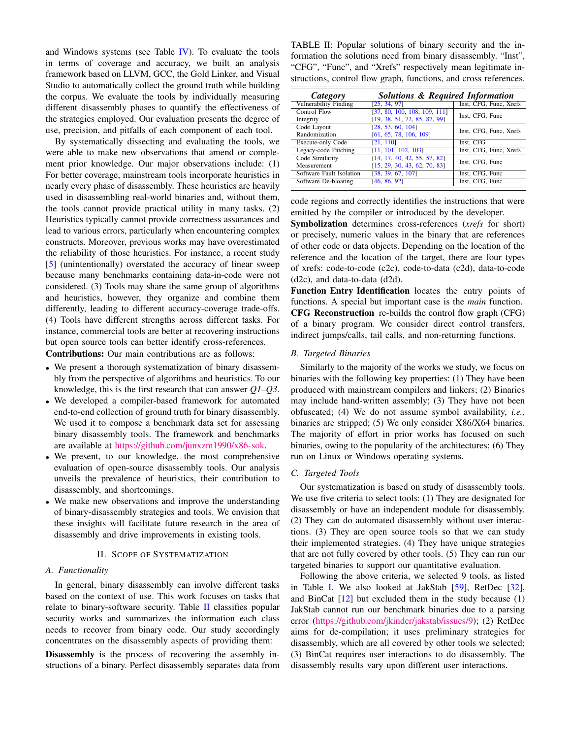and Windows systems (see Table  $IV$ ). To evaluate the tools in terms of coverage and accuracy, we built an analysis framework based on LLVM, GCC, the Gold Linker, and Visual Studio to automatically collect the ground truth while building the corpus. We evaluate the tools by individually measuring different disassembly phases to quantify the effectiveness of the strategies employed. Our evaluation presents the degree of use, precision, and pitfalls of each component of each tool.

By systematically dissecting and evaluating the tools, we were able to make new observations that amend or complement prior knowledge. Our major observations include: (1) For better coverage, mainstream tools incorporate heuristics in nearly every phase of disassembly. These heuristics are heavily used in disassembling real-world binaries and, without them, the tools cannot provide practical utility in many tasks. (2) Heuristics typically cannot provide correctness assurances and lead to various errors, particularly when encountering complex constructs. Moreover, previous works may have overestimated the reliability of those heuristics. For instance, a recent study [5] (unintentionally) overstated the accuracy of linear sweep because many benchmarks containing data-in-code were not considered. (3) Tools may share the same group of algorithms and heuristics, however, they organize and combine them differently, leading to different accuracy-coverage trade-offs. (4) Tools have different strengths across different tasks. For instance, commercial tools are better at recovering instructions but open source tools can better identify cross-references.

Contributions: Our main contributions are as follows:

- We present a thorough systematization of binary disassembly from the perspective of algorithms and heuristics. To our knowledge, this is the first research that can answer *Q1*–*Q3*.
- We developed a compiler-based framework for automated end-to-end collection of ground truth for binary disassembly. We used it to compose a benchmark data set for assessing binary disassembly tools. The framework and benchmarks are available at https://github.com/junxzm1990/x86-sok.
- We present, to our knowledge, the most comprehensive evaluation of open-source disassembly tools. Our analysis unveils the prevalence of heuristics, their contribution to disassembly, and shortcomings.
- We make new observations and improve the understanding of binary-disassembly strategies and tools. We envision that these insights will facilitate future research in the area of disassembly and drive improvements in existing tools.

## II. SCOPE OF SYSTEMATIZATION

#### *A. Functionality*

In general, binary disassembly can involve different tasks based on the context of use. This work focuses on tasks that relate to binary-software security. Table II classifies popular security works and summarizes the information each class needs to recover from binary code. Our study accordingly concentrates on the disassembly aspects of providing them:

Disassembly is the process of recovering the assembly instructions of a binary. Perfect disassembly separates data from TABLE II: Popular solutions of binary security and the information the solutions need from binary disassembly. "Inst", "CFG", "Func", and "Xrefs" respectively mean legitimate instructions, control flow graph, functions, and cross references.

| Category                     | <b>Solutions &amp; Required Information</b> |                        |  |  |  |
|------------------------------|---------------------------------------------|------------------------|--|--|--|
| <b>Vulnerability Finding</b> | [25, 34, 97]                                | Inst, CFG, Func, Xrefs |  |  |  |
| Control Flow                 | [37, 80, 100, 108, 109, 111]                | Inst, CFG, Func        |  |  |  |
| Integrity                    | [19, 38, 51, 72, 85, 87, 99]                |                        |  |  |  |
| Code Layout                  | [28, 53, 60, 104]                           | Inst, CFG, Func, Xrefs |  |  |  |
| Randomization                | [61, 65, 78, 106, 109]                      |                        |  |  |  |
| <b>Execute-only Code</b>     | [21, 110]                                   | Inst, CFG              |  |  |  |
| Legacy-code Patching         | [11, 101, 102, 103]                         | Inst, CFG, Func, Xrefs |  |  |  |
| Code Similarity              | [14, 17, 40, 42, 55, 57, 82]                | Inst, CFG, Func        |  |  |  |
| Measurement                  | [15, 29, 30, 43, 62, 70, 83]                |                        |  |  |  |
| Software Fault Isolation     | [38, 39, 67, 107]                           | Inst, CFG, Func        |  |  |  |
| Software De-bloating         | [46, 86, 92]                                | Inst, CFG, Func        |  |  |  |

code regions and correctly identifies the instructions that were emitted by the compiler or introduced by the developer.

Symbolization determines cross-references (*xrefs* for short) or precisely, numeric values in the binary that are references of other code or data objects. Depending on the location of the reference and the location of the target, there are four types of xrefs: code-to-code (c2c), code-to-data (c2d), data-to-code (d2c), and data-to-data (d2d).

Function Entry Identification locates the entry points of functions. A special but important case is the *main* function. CFG Reconstruction re-builds the control flow graph (CFG) of a binary program. We consider direct control transfers, indirect jumps/calls, tail calls, and non-returning functions.

#### *B. Targeted Binaries*

Similarly to the majority of the works we study, we focus on binaries with the following key properties: (1) They have been produced with mainstream compilers and linkers; (2) Binaries may include hand-written assembly; (3) They have not been obfuscated; (4) We do not assume symbol availability, *i.e.,* binaries are stripped; (5) We only consider X86/X64 binaries. The majority of effort in prior works has focused on such binaries, owing to the popularity of the architectures; (6) They run on Linux or Windows operating systems.

## *C. Targeted Tools*

Our systematization is based on study of disassembly tools. We use five criteria to select tools: (1) They are designated for disassembly or have an independent module for disassembly. (2) They can do automated disassembly without user interactions. (3) They are open source tools so that we can study their implemented strategies. (4) They have unique strategies that are not fully covered by other tools. (5) They can run our targeted binaries to support our quantitative evaluation.

Following the above criteria, we selected 9 tools, as listed in Table I. We also looked at JakStab [59], RetDec [32], and BinCat  $[12]$  but excluded them in the study because  $(1)$ JakStab cannot run our benchmark binaries due to a parsing error (https://github.com/jkinder/jakstab/issues/9); (2) RetDec aims for de-compilation; it uses preliminary strategies for disassembly, which are all covered by other tools we selected; (3) BinCat requires user interactions to do disassembly. The disassembly results vary upon different user interactions.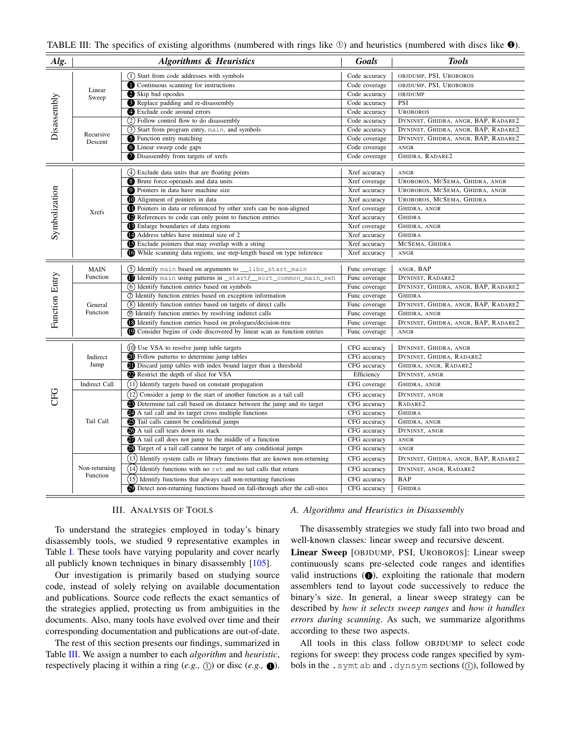| Alg.           |                           | <b>Algorithms &amp; Heuristics</b>                                                 | <b>Goals</b>  | <b>Tools</b>                        |
|----------------|---------------------------|------------------------------------------------------------------------------------|---------------|-------------------------------------|
|                |                           | (1) Start from code addresses with symbols                                         | Code accuracy | OBJDUMP, PSI, UROBOROS              |
|                | Linear                    | Continuous scanning for instructions                                               | Code coverage | OBJDUMP, PSI, UROBOROS              |
| Disassembly    | Sweep                     | Skip bad opcodes                                                                   | Code accuracy | OBJDUMP                             |
|                |                           | Replace padding and re-disassembly                                                 | Code accuracy | PSI                                 |
|                |                           | Exclude code around errors                                                         | Code accuracy | <b>UROBOROS</b>                     |
|                |                           | (2) Follow control flow to do disassembly                                          | Code accuracy | DYNINST, GHIDRA, ANGR, BAP, RADARE2 |
|                | Recursive                 | (3) Start from program entry, main, and symbols                                    | Code accuracy | DYNINST, GHIDRA, ANGR, BAP, RADARE2 |
|                | Descent                   | Sy Function entry matching                                                         | Code coverage | DYNINST, GHIDRA, ANGR, BAP, RADARE2 |
|                |                           | <b>C</b> Linear sweep code gaps                                                    | Code coverage | ANGR                                |
|                |                           | Disassembly from targets of xrefs                                                  | Code coverage | GHIDRA, RADARE2                     |
|                |                           | (4) Exclude data units that are floating points                                    | Xref accuracy | ANGR                                |
|                |                           | <b>S</b> Brute force operands and data units                                       | Xref coverage | UROBOROS, MCSEMA, GHIDRA, ANGR      |
|                |                           | <b>O</b> Pointers in data have machine size                                        | Xref accuracy | UROBOROS, MCSEMA, GHIDRA, ANGR      |
|                |                           | Alignment of pointers in data                                                      | Xref accuracy | UROBOROS, MCSEMA, GHIDRA            |
| Symbolization  | <b>Xrefs</b>              | <b>ID</b> Pointers in data or referenced by other xrefs can be non-aligned         | Xref coverage | GHIDRA, ANGR                        |
|                |                           | References to code can only point to function entries                              | Xref accuracy | <b>GHIDRA</b>                       |
|                |                           | <b>B</b> Enlarge boundaries of data regions                                        | Xref coverage | GHIDRA, ANGR                        |
|                |                           | Address tables have minimal size of 2                                              | Xref accuracy | <b>GHIDRA</b>                       |
|                |                           | <b>S</b> Exclude pointers that may overlap with a string                           | Xref accuracy | MCSEMA, GHIDRA                      |
|                |                           | While scanning data regions, use step-length based on type inference               | Xref accuracy | ANGR                                |
|                | <b>MAIN</b>               | (5) Identify main based on arguments to __libc_start_main                          | Func coverage | ANGR, BAP                           |
| Function Entry | Function                  | Identify main using patterns in _start/_scrt_common_main_seh                       | Func coverage | DYNINST, RADARE2                    |
|                |                           | (6) Identify function entries based on symbols                                     | Func coverage | DYNINST, GHIDRA, ANGR, BAP, RADARE2 |
|                |                           | 1 Identify function entries based on exception information                         | Func coverage | <b>GHIDRA</b>                       |
|                | General                   | (8) Identify function entries based on targets of direct calls                     | Func coverage | DYNINST, GHIDRA, ANGR, BAP, RADARE2 |
|                | Function                  | <b>9</b> Identify function entries by resolving indirect calls                     | Func coverage | GHIDRA, ANGR                        |
|                |                           | <b>B</b> Identify function entries based on prologues/decision-tree                | Func coverage | DYNINST, GHIDRA, ANGR, BAP, RADARE2 |
|                |                           | <sup>1</sup> Consider begins of code discovered by linear scan as function entries | Func coverage | ANGR                                |
|                |                           | (10) Use VSA to resolve jump table targets                                         | CFG accuracy  | DYNINST, GHIDRA, ANGR               |
|                | Indirect                  | <b>20</b> Follow patterns to determine jump tables                                 | CFG accuracy  | DYNINST, GHIDRA, RADARE2            |
|                | Jump                      | <b>D</b> Discard jump tables with index bound larger than a threshold              | CFG accuracy  | GHIDRA, ANGR, RADARE2               |
|                |                           | Restrict the depth of slice for VSA                                                | Efficiency    | DYNINST, ANGR                       |
|                | Indirect Call             | (11) Identify targets based on constant propagation                                | CFG coverage  | GHIDRA, ANGR                        |
| CHC            |                           | $(12)$ Consider a jump to the start of another function as a tail call             | CFG accuracy  | DYNINST, ANGR                       |
|                |                           | <b>23</b> Determine tail call based on distance between the jump and its target    | CFG accuracy  | RADARE2                             |
|                |                           | 24 A tail call and its target cross multiple functions                             | CFG accuracy  | <b>GHIDRA</b>                       |
|                | Tail Call                 | <b>3</b> Tail calls cannot be conditional jumps                                    | CFG accuracy  | GHIDRA, ANGR                        |
|                |                           | A tail call tears down its stack                                                   | CFG accuracy  | DYNINST, ANGR                       |
|                |                           | A tail call does not jump to the middle of a function                              | CFG accuracy  | ANGR                                |
|                |                           | <sup>28</sup> Target of a tail call cannot be target of any conditional jumps      | CFG accuracy  | ANGR                                |
|                |                           | (13) Identify system calls or library functions that are known non-returning       | CFG accuracy  | DYNINST, GHIDRA, ANGR, BAP, RADARE2 |
|                | Non-returning<br>Function | $(14)$ Identify functions with no ret and no tail calls that return                | CFG accuracy  | DYNINST, ANGR, RADARE2              |
|                |                           | (15) Identify functions that always call non-returning functions                   | CFG accuracy  | <b>BAP</b>                          |
|                |                           | 29 Detect non-returning functions based on fall-through after the call-sites       | CFG accuracy  | <b>GHIDRA</b>                       |

## III. ANALYSIS OF TOOLS

To understand the strategies employed in today's binary disassembly tools, we studied 9 representative examples in Table I. These tools have varying popularity and cover nearly all publicly known techniques in binary disassembly [105].

Our investigation is primarily based on studying source code, instead of solely relying on available documentation and publications. Source code reflects the exact semantics of the strategies applied, protecting us from ambiguities in the documents. Also, many tools have evolved over time and their corresponding documentation and publications are out-of-date.

The rest of this section presents our findings, summarized in Table III. We assign a number to each *algorithm* and *heuristic*, respectively placing it within a ring  $(e.g., \mathbb{Q})$  or disc  $(e.g., \mathbb{Q})$ .

## *A. Algorithms and Heuristics in Disassembly*

The disassembly strategies we study fall into two broad and well-known classes: linear sweep and recursive descent.

Linear Sweep [OBJDUMP, PSI, UROBOROS]: Linear sweep continuously scans pre-selected code ranges and identifies valid instructions  $(①)$ , exploiting the rationale that modern assemblers tend to layout code successively to reduce the binary's size. In general, a linear sweep strategy can be described by *how it selects sweep ranges* and *how it handles errors during scanning*. As such, we summarize algorithms according to these two aspects.

All tools in this class follow OBJDUMP to select code regions for sweep: they process code ranges specified by symbols in the . symtab and . dynsym sections  $(1)$ , followed by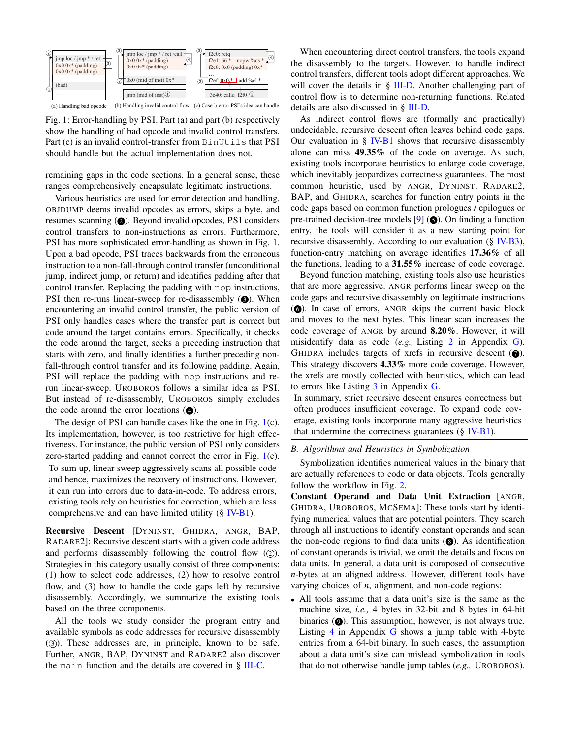

Fig. 1: Error-handling by PSI. Part (a) and part (b) respectively show the handling of bad opcode and invalid control transfers. Part (c) is an invalid control-transfer from BinUtils that PSI should handle but the actual implementation does not.

remaining gaps in the code sections. In a general sense, these ranges comprehensively encapsulate legitimate instructions.

Various heuristics are used for error detection and handling. OBJDUMP deems invalid opcodes as errors, skips a byte, and resumes scanning  $(2)$ . Beyond invalid opcodes, PSI considers control transfers to non-instructions as errors. Furthermore, PSI has more sophisticated error-handling as shown in Fig. 1. Upon a bad opcode, PSI traces backwards from the erroneous instruction to a non-fall-through control transfer (unconditional jump, indirect jump, or return) and identifies padding after that control transfer. Replacing the padding with nop instructions, PSI then re-runs linear-sweep for re-disassembly  $\Theta$ ). When encountering an invalid control transfer, the public version of PSI only handles cases where the transfer part is correct but code around the target contains errors. Specifically, it checks the code around the target, seeks a preceding instruction that starts with zero, and finally identifies a further preceding nonfall-through control transfer and its following padding. Again, PSI will replace the padding with nop instructions and rerun linear-sweep. UROBOROS follows a similar idea as PSI. But instead of re-disassembly, UROBOROS simply excludes the code around the error locations  $(4)$ .

The design of PSI can handle cases like the one in Fig. 1(c). Its implementation, however, is too restrictive for high effectiveness. For instance, the public version of PSI only considers zero-started padding and cannot correct the error in Fig. 1(c). To sum up, linear sweep aggressively scans all possible code

and hence, maximizes the recovery of instructions. However, it can run into errors due to data-in-code. To address errors, existing tools rely on heuristics for correction, which are less comprehensive and can have limited utility (§ IV-B1).

Recursive Descent [DYNINST, GHIDRA, ANGR, BAP, RADARE2]: Recursive descent starts with a given code address and performs disassembly following the control flow  $(2)$ . Strategies in this category usually consist of three components: (1) how to select code addresses, (2) how to resolve control flow, and (3) how to handle the code gaps left by recursive disassembly. Accordingly, we summarize the existing tools based on the three components.

All the tools we study consider the program entry and available symbols as code addresses for recursive disassembly  $(3)$ ). These addresses are, in principle, known to be safe. Further, ANGR, BAP, DYNINST and RADARE2 also discover the main function and the details are covered in § III-C.

When encountering direct control transfers, the tools expand the disassembly to the targets. However, to handle indirect control transfers, different tools adopt different approaches. We will cover the details in  $\S$  III-D. Another challenging part of control flow is to determine non-returning functions. Related details are also discussed in § III-D.

As indirect control flows are (formally and practically) undecidable, recursive descent often leaves behind code gaps. Our evaluation in  $\S$  IV-B1 shows that recursive disassembly alone can miss 49.35% of the code on average. As such, existing tools incorporate heuristics to enlarge code coverage, which inevitably jeopardizes correctness guarantees. The most common heuristic, used by ANGR, DYNINST, RADARE2, BAP, and GHIDRA, searches for function entry points in the code gaps based on common function prologues / epilogues or pre-trained decision-tree models  $[9]$  ( $\bigcirc$ ). On finding a function entry, the tools will consider it as a new starting point for recursive disassembly. According to our evaluation (§ IV-B3), function-entry matching on average identifies 17.36% of all the functions, leading to a 31.55% increase of code coverage.

Beyond function matching, existing tools also use heuristics that are more aggressive. ANGR performs linear sweep on the code gaps and recursive disassembly on legitimate instructions ( $\odot$ ). In case of errors, ANGR skips the current basic block and moves to the next bytes. This linear scan increases the code coverage of ANGR by around 8.20%. However, it will misidentify data as code (*e.g.,* Listing 2 in Appendix G). GHIDRA includes targets of xrefs in recursive descent  $(①)$ . This strategy discovers 4.33% more code coverage. However, the xrefs are mostly collected with heuristics, which can lead to errors like Listing 3 in Appendix G.

In summary, strict recursive descent ensures correctness but often produces insufficient coverage. To expand code coverage, existing tools incorporate many aggressive heuristics that undermine the correctness guarantees (§ IV-B1).

#### *B. Algorithms and Heuristics in Symbolization*

Symbolization identifies numerical values in the binary that are actually references to code or data objects. Tools generally follow the workflow in Fig. 2.

Constant Operand and Data Unit Extraction [ANGR, GHIDRA, UROBOROS, MCSEMA]: These tools start by identifying numerical values that are potential pointers. They search through all instructions to identify constant operands and scan the non-code regions to find data units  $\circled{O}$ . As identification of constant operands is trivial, we omit the details and focus on data units. In general, a data unit is composed of consecutive *n*-bytes at an aligned address. However, different tools have varying choices of *n*, alignment, and non-code regions:

• All tools assume that a data unit's size is the same as the machine size, *i.e.,* 4 bytes in 32-bit and 8 bytes in 64-bit binaries  $(①)$ . This assumption, however, is not always true. Listing 4 in Appendix G shows a jump table with 4-byte entries from a 64-bit binary. In such cases, the assumption about a data unit's size can mislead symbolization in tools that do not otherwise handle jump tables (*e.g.,* UROBOROS).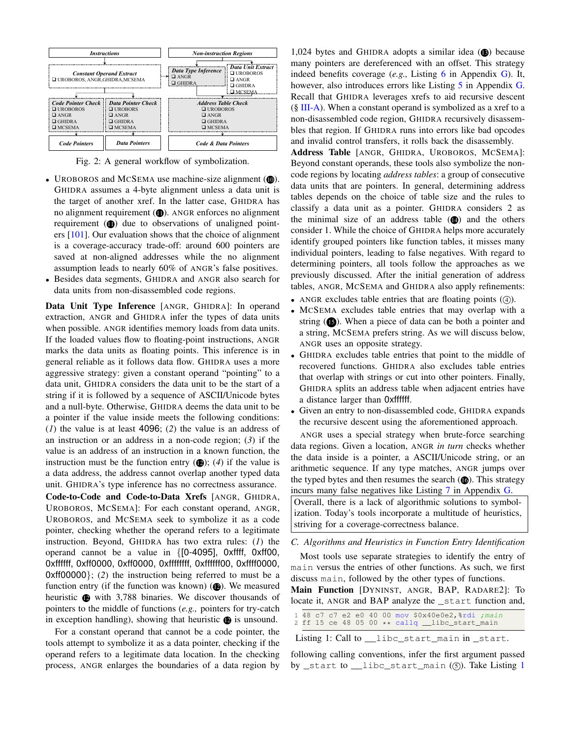

Fig. 2: A general workflow of symbolization.

- UROBOROS and MCSEMA use machine-size alignment  $(①)$ . GHIDRA assumes a 4-byte alignment unless a data unit is the target of another xref. In the latter case, GHIDRA has no alignment requirement  $(①)$ . ANGR enforces no alignment requirement  $(1)$  due to observations of unaligned pointers [101]. Our evaluation shows that the choice of alignment is a coverage-accuracy trade-off: around 600 pointers are saved at non-aligned addresses while the no alignment assumption leads to nearly 60% of ANGR's false positives.
- Besides data segments, GHIDRA and ANGR also search for data units from non-disassembled code regions.

Data Unit Type Inference [ANGR, GHIDRA]: In operand extraction, ANGR and GHIDRA infer the types of data units when possible. ANGR identifies memory loads from data units. If the loaded values flow to floating-point instructions, ANGR marks the data units as floating points. This inference is in general reliable as it follows data flow. GHIDRA uses a more aggressive strategy: given a constant operand "pointing" to a data unit, GHIDRA considers the data unit to be the start of a string if it is followed by a sequence of ASCII/Unicode bytes and a null-byte. Otherwise, GHIDRA deems the data unit to be a pointer if the value inside meets the following conditions: (*1*) the value is at least 4096; (*2*) the value is an address of an instruction or an address in a non-code region; (*3*) if the value is an address of an instruction in a known function, the instruction must be the function entry  $(Q)$ ; (4) if the value is a data address, the address cannot overlap another typed data unit. GHIDRA's type inference has no correctness assurance.

Code-to-Code and Code-to-Data Xrefs [ANGR, GHIDRA, UROBOROS, MCSEMA]: For each constant operand, ANGR, UROBOROS, and MCSEMA seek to symbolize it as a code pointer, checking whether the operand refers to a legitimate instruction. Beyond, GHIDRA has two extra rules: (*1*) the operand cannot be a value in {[0-4095], 0xffff, 0xff00, 0xffffff, 0xff0000, 0xff0000, 0xffffffff, 0xffffff00, 0xffff0000, 0xff00000}; (*2*) the instruction being referred to must be a function entry (if the function was known)  $(2)$ . We measured heuristic  $\bullet$  with 3,788 binaries. We discover thousands of pointers to the middle of functions (*e.g.,* pointers for try-catch in exception handling), showing that heuristic  $\bullet$  is unsound.

For a constant operand that cannot be a code pointer, the tools attempt to symbolize it as a data pointer, checking if the operand refers to a legitimate data location. In the checking process, ANGR enlarges the boundaries of a data region by

1,024 bytes and GHIDRA adopts a similar idea  $(6)$  because many pointers are dereferenced with an offset. This strategy indeed benefits coverage (*e.g.,* Listing 6 in Appendix G). It, however, also introduces errors like Listing 5 in Appendix G. Recall that GHIDRA leverages xrefs to aid recursive descent  $(\S \text{ III-A})$ . When a constant operand is symbolized as a xref to a non-disassembled code region, GHIDRA recursively disassembles that region. If GHIDRA runs into errors like bad opcodes and invalid control transfers, it rolls back the disassembly.

Address Table [ANGR, GHIDRA, UROBOROS, MCSEMA]: Beyond constant operands, these tools also symbolize the noncode regions by locating *address tables*: a group of consecutive data units that are pointers. In general, determining address tables depends on the choice of table size and the rules to classify a data unit as a pointer. GHIDRA considers 2 as the minimal size of an address table  $(4)$  and the others consider 1. While the choice of GHIDRA helps more accurately identify grouped pointers like function tables, it misses many individual pointers, leading to false negatives. With regard to determining pointers, all tools follow the approaches as we previously discussed. After the initial generation of address tables, ANGR, MCSEMA and GHIDRA also apply refinements:

- ANGR excludes table entries that are floating points  $(4)$ ).
- MCSEMA excludes table entries that may overlap with a string  $(6)$ . When a piece of data can be both a pointer and a string, MCSEMA prefers string. As we will discuss below, ANGR uses an opposite strategy.
- GHIDRA excludes table entries that point to the middle of recovered functions. GHIDRA also excludes table entries that overlap with strings or cut into other pointers. Finally, GHIDRA splits an address table when adjacent entries have a distance larger than 0xffffff.
- Given an entry to non-disassembled code, GHIDRA expands the recursive descent using the aforementioned approach.

ANGR uses a special strategy when brute-force searching data regions. Given a location, ANGR *in turn* checks whether the data inside is a pointer, a ASCII/Unicode string, or an arithmetic sequence. If any type matches, ANGR jumps over the typed bytes and then resumes the search  $(6)$ . This strategy incurs many false negatives like Listing 7 in Appendix G.

Overall, there is a lack of algorithmic solutions to symbolization. Today's tools incorporate a multitude of heuristics, striving for a coverage-correctness balance.

*C. Algorithms and Heuristics in Function Entry Identification*

Most tools use separate strategies to identify the entry of main versus the entries of other functions. As such, we first discuss main, followed by the other types of functions.

Main Function [DYNINST, ANGR, BAP, RADARE2]: To locate it, ANGR and BAP analyze the \_start function and,

1 48 c7 c7 e2 e0 40 00 mov \$0x40e0e2,%rdi ;main 2 ff 15 ce 48 05 00 \*\* callq \_\_libc\_start\_main

Listing 1: Call to \_\_\_libc\_start\_main in \_start.

following calling conventions, infer the first argument passed by \_start to \_libc\_start\_main ( $($ 5 $)$ ). Take Listing 1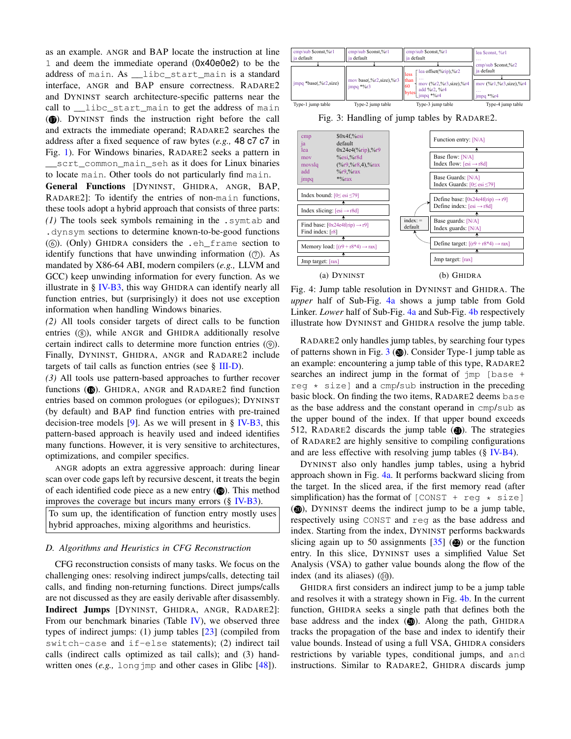as an example. ANGR and BAP locate the instruction at line 1 and deem the immediate operand (0x40e0e2) to be the address of main. As \_\_libc\_start\_main is a standard interface, ANGR and BAP ensure correctness. RADARE2 and DYNINST search architecture-specific patterns near the call to \_\_libc\_start\_main to get the address of main (17). DYNINST finds the instruction right before the call and extracts the immediate operand; RADARE2 searches the address after a fixed sequence of raw bytes (*e.g.,* 48 c7 c7 in Fig. 1). For Windows binaries, RADARE2 seeks a pattern in \_\_scrt\_common\_main\_seh as it does for Linux binaries to locate main. Other tools do not particularly find main.

General Functions [DYNINST, GHIDRA, ANGR, BAP, RADARE2]: To identify the entries of non-main functions, these tools adopt a hybrid approach that consists of three parts: *(1)* The tools seek symbols remaining in the .symtab and .dynsym sections to determine known-to-be-good functions  $(6)$ . (Only) GHIDRA considers the .eh\_frame section to identify functions that have unwinding information  $(7)$ . As mandated by X86-64 ABI, modern compilers (*e.g.,* LLVM and GCC) keep unwinding information for every function. As we illustrate in  $\S$  IV-B3, this way GHIDRA can identify nearly all function entries, but (surprisingly) it does not use exception information when handling Windows binaries.

*(2)* All tools consider targets of direct calls to be function entries  $(8)$ , while ANGR and GHIDRA additionally resolve certain indirect calls to determine more function entries  $(③)$ . Finally, DYNINST, GHIDRA, ANGR and RADARE2 include targets of tail calls as function entries (see  $\S$  III-D).

*(3)* All tools use pattern-based approaches to further recover functions ( $\circledR$ ). GHIDRA, ANGR and RADARE2 find function entries based on common prologues (or epilogues); DYNINST (by default) and BAP find function entries with pre-trained decision-tree models  $[9]$ . As we will present in § IV-B3, this pattern-based approach is heavily used and indeed identifies many functions. However, it is very sensitive to architectures, optimizations, and compiler specifics.

ANGR adopts an extra aggressive approach: during linear scan over code gaps left by recursive descent, it treats the begin of each identified code piece as a new entry  $(\circled{1})$ . This method improves the coverage but incurs many errors  $(\S$  IV-B3).

To sum up, the identification of function entry mostly uses hybrid approaches, mixing algorithms and heuristics.

# *D. Algorithms and Heuristics in CFG Reconstruction*

CFG reconstruction consists of many tasks. We focus on the challenging ones: resolving indirect jumps/calls, detecting tail calls, and finding non-returning functions. Direct jumps/calls are not discussed as they are easily derivable after disassembly. Indirect Jumps [DYNINST, GHIDRA, ANGR, RADARE2]: From our benchmark binaries (Table  $IV$ ), we observed three types of indirect jumps: (1) jump tables [23] (compiled from switch-case and if-else statements); (2) indirect tail calls (indirect calls optimized as tail calls); and (3) handwritten ones (*e.g.*, long imp and other cases in Glibc [48]).



Fig. 3: Handling of jump tables by RADARE2.



Fig. 4: Jump table resolution in DYNINST and GHIDRA. The *upper* half of Sub-Fig. 4a shows a jump table from Gold Linker. *Lower* half of Sub-Fig. 4a and Sub-Fig. 4b respectively illustrate how DYNINST and GHIDRA resolve the jump table.

RADARE2 only handles jump tables, by searching four types of patterns shown in Fig.  $3$  ( $\omega$ ). Consider Type-1 jump table as an example: encountering a jump table of this type, RADARE2 searches an indirect jump in the format of jmp [base + reg  $\star$  size] and a cmp/sub instruction in the preceding basic block. On finding the two items, RADARE2 deems base as the base address and the constant operand in cmp/sub as the upper bound of the index. If that upper bound exceeds 512, RADARE2 discards the jump table  $(\mathbf{Q})$ . The strategies of RADARE2 are highly sensitive to compiling configurations and are less effective with resolving jump tables (§ IV-B4).

DYNINST also only handles jump tables, using a hybrid approach shown in Fig. 4a. It performs backward slicing from the target. In the sliced area, if the first memory read (after simplification) has the format of  $[CONST + reg * size]$ (20), DYNINST deems the indirect jump to be a jump table, respectively using CONST and reg as the base address and index. Starting from the index, DYNINST performs backwards slicing again up to 50 assignments  $[35]$  ( $\circled{2}$ ) or the function entry. In this slice, DYNINST uses a simplified Value Set Analysis (VSA) to gather value bounds along the flow of the index (and its aliases)  $(10)$ .

GHIDRA first considers an indirect jump to be a jump table and resolves it with a strategy shown in Fig. 4b. In the current function, GHIDRA seeks a single path that defines both the base address and the index  $(\circled{a})$ . Along the path, GHIDRA tracks the propagation of the base and index to identify their value bounds. Instead of using a full VSA, GHIDRA considers restrictions by variable types, conditional jumps, and and instructions. Similar to RADARE2, GHIDRA discards jump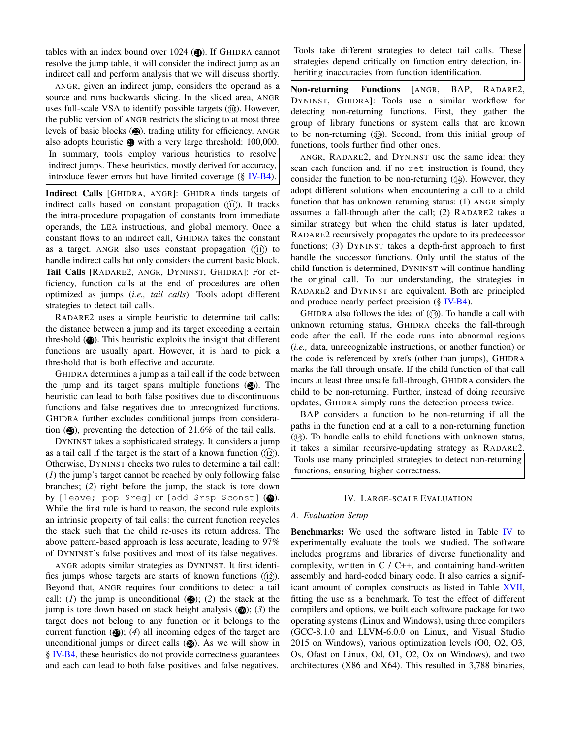tables with an index bound over  $1024$  ( $\circled{1}$ ). If GHIDRA cannot resolve the jump table, it will consider the indirect jump as an indirect call and perform analysis that we will discuss shortly.

ANGR, given an indirect jump, considers the operand as a source and runs backwards slicing. In the sliced area, ANGR uses full-scale VSA to identify possible targets  $($ <sub>( $)$ </sub>). However, the public version of ANGR restricts the slicing to at most three levels of basic blocks (22), trading utility for efficiency. ANGR also adopts heuristic  $\bullet$  with a very large threshold: 100,000. In summary, tools employ various heuristics to resolve indirect jumps. These heuristics, mostly derived for accuracy, introduce fewer errors but have limited coverage (§ IV-B4).

Indirect Calls [GHIDRA, ANGR]: GHIDRA finds targets of indirect calls based on constant propagation  $(1)$ ). It tracks the intra-procedure propagation of constants from immediate operands, the LEA instructions, and global memory. Once a constant flows to an indirect call, GHIDRA takes the constant as a target. ANGR also uses constant propagation  $(1)$  to handle indirect calls but only considers the current basic block. Tail Calls [RADARE2, ANGR, DYNINST, GHIDRA]: For efficiency, function calls at the end of procedures are often optimized as jumps (*i.e., tail calls*). Tools adopt different strategies to detect tail calls.

RADARE2 uses a simple heuristic to determine tail calls: the distance between a jump and its target exceeding a certain threshold  $(2)$ . This heuristic exploits the insight that different functions are usually apart. However, it is hard to pick a threshold that is both effective and accurate.

GHIDRA determines a jump as a tail call if the code between the jump and its target spans multiple functions  $(2)$ . The heuristic can lead to both false positives due to discontinuous functions and false negatives due to unrecognized functions. GHIDRA further excludes conditional jumps from consideration  $(2)$ , preventing the detection of 21.6% of the tail calls.

DYNINST takes a sophisticated strategy. It considers a jump as a tail call if the target is the start of a known function  $(12)$ ). Otherwise, DYNINST checks two rules to determine a tail call: (*1*) the jump's target cannot be reached by only following false branches; (*2*) right before the jump, the stack is tore down by [leave; pop \$reg] or [add \$rsp \$const]  $(2)$ . While the first rule is hard to reason, the second rule exploits an intrinsic property of tail calls: the current function recycles the stack such that the child re-uses its return address. The above pattern-based approach is less accurate, leading to 97% of DYNINST's false positives and most of its false negatives.

ANGR adopts similar strategies as DYNINST. It first identifies jumps whose targets are starts of known functions  $(12)$ ). Beyond that, ANGR requires four conditions to detect a tail call: (*I*) the jump is unconditional  $(\bigotimes)$ ; (*2*) the stack at the jump is tore down based on stack height analysis  $(26)$ ; (3) the target does not belong to any function or it belongs to the current function  $(Q)$ ; (4) all incoming edges of the target are unconditional jumps or direct calls  $(2)$ . As we will show in § IV-B4, these heuristics do not provide correctness guarantees and each can lead to both false positives and false negatives.

Tools take different strategies to detect tail calls. These strategies depend critically on function entry detection, inheriting inaccuracies from function identification.

Non-returning Functions [ANGR, BAP, RADARE2, DYNINST, GHIDRA]: Tools use a similar workflow for detecting non-returning functions. First, they gather the group of library functions or system calls that are known to be non-returning  $(1)$ . Second, from this initial group of functions, tools further find other ones.

ANGR, RADARE2, and DYNINST use the same idea: they scan each function and, if no ret instruction is found, they consider the function to be non-returning  $(14)$ . However, they adopt different solutions when encountering a call to a child function that has unknown returning status: (1) ANGR simply assumes a fall-through after the call; (2) RADARE2 takes a similar strategy but when the child status is later updated, RADARE2 recursively propagates the update to its predecessor functions; (3) DYNINST takes a depth-first approach to first handle the successor functions. Only until the status of the child function is determined, DYNINST will continue handling the original call. To our understanding, the strategies in RADARE2 and DYNINST are equivalent. Both are principled and produce nearly perfect precision  $(\S$  IV-B4).

GHIDRA also follows the idea of  $(14)$ . To handle a call with unknown returning status, GHIDRA checks the fall-through code after the call. If the code runs into abnormal regions (*i.e.,* data, unrecognizable instructions, or another function) or the code is referenced by xrefs (other than jumps), GHIDRA marks the fall-through unsafe. If the child function of that call incurs at least three unsafe fall-through, GHIDRA considers the child to be non-returning. Further, instead of doing recursive updates, GHIDRA simply runs the detection process twice.

BAP considers a function to be non-returning if all the paths in the function end at a call to a non-returning function  $($  $($ a $)$ ). To handle calls to child functions with unknown status, it takes a similar recursive-updating strategy as RADARE2. Tools use many principled strategies to detect non-returning functions, ensuring higher correctness.

## IV. LARGE-SCALE EVALUATION

#### *A. Evaluation Setup*

Benchmarks: We used the software listed in Table IV to experimentally evaluate the tools we studied. The software includes programs and libraries of diverse functionality and complexity, written in  $C / C$ ++, and containing hand-written assembly and hard-coded binary code. It also carries a significant amount of complex constructs as listed in Table XVII, fitting the use as a benchmark. To test the effect of different compilers and options, we built each software package for two operating systems (Linux and Windows), using three compilers (GCC-8.1.0 and LLVM-6.0.0 on Linux, and Visual Studio 2015 on Windows), various optimization levels (O0, O2, O3, Os, Ofast on Linux, Od, O1, O2, Ox on Windows), and two architectures (X86 and X64). This resulted in 3,788 binaries,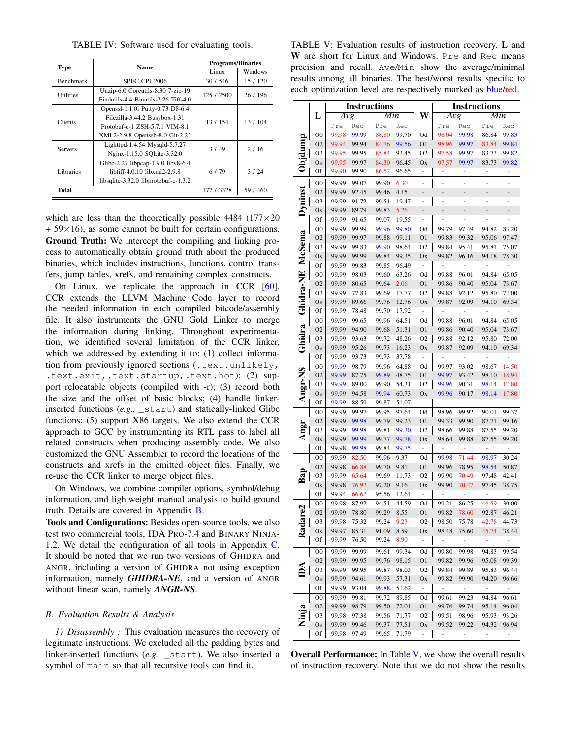TABLE IV: Software used for evaluating tools.

| <b>Type</b>      | <b>Name</b>                          | <b>Programs/Binaries</b> |          |  |
|------------------|--------------------------------------|--------------------------|----------|--|
|                  |                                      | Linux                    | Windows  |  |
| <b>Benchmark</b> | SPEC CPU2006                         | 30/546                   | 15 / 120 |  |
| <b>Utilities</b> | Unzip-6.0 Coreutils-8.30 7-zip-19    | 125 / 2500               | 26 / 196 |  |
|                  | Findutils-4.4 Binutils-2.26 Tiff-4.0 |                          |          |  |
|                  | Openssl-1.1.01 Putty-0.73 D8-6.4     |                          |          |  |
| Clients          | Filezilla-3.44.2 Busybox-1.31        | 13 / 154                 | 13/104   |  |
|                  | Protobuf-c-1 ZSH-5.7.1 VIM-8.1       |                          |          |  |
|                  | XML2-2.9.8 Openssh-8.0 Git-2.23      |                          |          |  |
| <b>Servers</b>   | Lighttpd-1.4.54 Mysqld-5.7.27        | 3/49                     | 2/16     |  |
|                  | Nginx-1.15.0 SQLite-3.32.0           |                          |          |  |
|                  | Glibc-2.27 libpcap-1.9.0 libv8-6.4   |                          |          |  |
| Libraries        | libtiff-4.0.10 libxml2-2.9.8         | 6/79                     | 3/24     |  |
|                  | libsqlite-3.32.0 libprotobuf-c-1.3.2 |                          |          |  |
| Total            |                                      | 177 / 3328               | 59 / 460 |  |

which are less than the theoretically possible 4484 ( $177 \times 20$ )  $+ 59 \times 16$ , as some cannot be built for certain configurations. Ground Truth: We intercept the compiling and linking process to automatically obtain ground truth about the produced binaries, which includes instructions, functions, control transfers, jump tables, xrefs, and remaining complex constructs.

On Linux, we replicate the approach in CCR [60]. CCR extends the LLVM Machine Code layer to record the needed information in each compiled bitcode/assembly file. It also instruments the GNU Gold Linker to merge the information during linking. Throughout experimentation, we identified several limitation of the CCR linker, which we addressed by extending it to: (1) collect information from previously ignored sections (.text.unlikely, .text.exit,.text.startup,.text.hot); (2) support relocatable objects (compiled with -r); (3) record both the size and the offset of basic blocks; (4) handle linkerinserted functions (*e.g.,* \_start) and statically-linked Glibc functions; (5) support X86 targets. We also extend the CCR approach to GCC by instrumenting its RTL pass to label all related constructs when producing assembly code. We also customized the GNU Assembler to record the locations of the constructs and xrefs in the emitted object files. Finally, we re-use the CCR linker to merge object files.

On Windows, we combine compiler options, symbol/debug information, and lightweight manual analysis to build ground truth. Details are covered in Appendix B.

Tools and Configurations: Besides open-source tools, we also test two commercial tools, IDA PRO-7.4 and BINARY NINJA-1.2. We detail the configuration of all tools in Appendix C. It should be noted that we run two versions of GHIDRA and ANGR, including a version of GHIDRA not using exception information, namely *GHIDRA-NE*, and a version of ANGR without linear scan, namely *ANGR-NS*.

## *B. Evaluation Results & Analysis*

*1) Disassembly :* This evaluation measures the recovery of legitimate instructions. We excluded all the padding bytes and linker-inserted functions (*e.g.,* \_start). We also inserted a symbol of main so that all recursive tools can find it.

TABLE V: Evaluation results of instruction recovery. L and W are short for Linux and Windows. Pre and Rec means precision and recall. Ave/Min show the average/minimal results among all binaries. The best/worst results specific to each optimization level are respectively marked as blue/red.

|                        |                      | <b>Instructions</b> |                |                | <b>Instructions</b> |                              |                          |                          |                          |                          |
|------------------------|----------------------|---------------------|----------------|----------------|---------------------|------------------------------|--------------------------|--------------------------|--------------------------|--------------------------|
|                        | L                    | $\overline{Avg}$    |                | Min            |                     | W                            | $\overline{Avg}$         |                          | Min                      |                          |
|                        |                      | Pre                 | Rec            | Pre            | Rec                 |                              | Pre                      | Rec                      | Pre                      | Rec                      |
|                        | $_{\rm OO}$          | 99.98               | 99.99          | 88.80          | 99.70               | Od                           | 98.04                    | 99.98                    | 86.84                    | 99.83                    |
| Objdump                | O <sub>2</sub>       | 99.94               | 99.94          | 84.76          | 99.56               | O <sub>1</sub>               | 98.96                    | 99.97                    | 83.84                    | 99.84                    |
|                        | O3                   | 99.95               | 99.95          | 85.84          | 93.45               | O <sub>2</sub>               | 97.58                    | 99.97                    | 83.73                    | 99.82                    |
|                        | Os                   | 99.95               | 99.97          | 84.30          | 96.45               | Оx                           | 97.57                    | 99.97                    | 83.73                    | 99.82                    |
|                        | Of                   | 99.90               | 99.90          | 86.52          | 96.65               | ÷                            | -                        | -                        | ÷                        | ÷                        |
|                        | O <sub>0</sub>       | 99.99               | 99.07          | 99.90          | 6.30                |                              | ÷,                       | $\overline{\phantom{0}}$ | ÷                        | ÷                        |
|                        | O <sub>2</sub>       | 99.99               | 92.45          | 99.46          | 4.15                | ÷                            |                          |                          |                          |                          |
|                        | O3                   | 99.99               | 91.72          | 99.51          | 19.47               | ۰                            | i,                       | ۰                        | i,                       |                          |
| Dyninst                | Os                   | 99.99               | 89.79          | 99.83          | 5.26                |                              |                          | -                        | -                        |                          |
|                        | Of                   | 99.99               | 91.65          | 99.07          | 19.55               | ۰                            | ٠                        | ۰                        | -                        |                          |
|                        | $_{\rm OO}$          | 99.99               | 99.99          | 99.96          | 99.80               | Od                           | 99.79                    | 97.49                    | 94.82                    | 83.20                    |
| McSema                 | O <sub>2</sub>       | 99.99               | 99.97          | 99.88          | 99.11               | 01                           | 99.83                    | 99.32                    | 95.06                    | 97.47                    |
|                        | O3                   | 99.99               | 99.83          | 99.90          | 98.64               | O <sub>2</sub>               | 99.84                    | 95.41                    | 95.81                    | 75.07                    |
|                        | Os                   | 99.99               | 99.99          | 99.84          | 99.35               | Ox                           | 99.82                    | 96.16                    | 94.18                    | 78.30                    |
|                        | Of                   | 99.99               | 99.83          | 99.85          | 96.49               | ÷,                           | ÷                        |                          | ÷                        | ÷                        |
|                        | $_{\rm OO}$          | 99.99               | 98.03          | 99.60          | 63.26               | Od                           | 99.88                    | 96.01                    | 94.84                    | 65.05                    |
|                        | O <sub>2</sub>       | 99.99               | 80.65          | 99.64          | 2.06                | O <sub>1</sub>               | 99.86                    | 90.40                    | 95.04                    | 73.67                    |
|                        | O3                   | 99.99               | 77.83          | 99.69          | 17.77               | O <sub>2</sub>               | 99.88                    | 92.12                    | 95.80                    | 72.00                    |
|                        | Os                   | 99.99               | 89.66          | 99.76          | 12.76               | Ox                           | 99.87                    | 92.09                    | 94.10                    | 69.34                    |
| Ghidra-NE              | Of                   | 99.99               | 78.48          | 99.70          | 17.92               | ÷                            | -                        |                          | ÷                        | ÷                        |
|                        | $_{\rm OO}$          | 99.99               | 99.65          | 99.96          | 64.51               | Od                           | 99.88                    | 96.01                    | 94.84                    | 65.05                    |
| Ghidra                 | O <sub>2</sub>       | 99.99               | 94.90          | 99.68          | 51.31               | O <sub>1</sub>               | 99.86                    | 90.40                    | 95.04                    | 73.67                    |
|                        | O3                   | 99.99               | 93.63          | 99.72          | 48.26               | O <sub>2</sub>               | 99.88                    | 92.12                    | 95.80                    | 72.00                    |
|                        | Os                   | 99.99               | 95.26          | 99.73          | 16.23               | Оx                           | 99.87                    | 92.09                    | 94.10                    | 69.34                    |
|                        | Of                   | 99.99               | 93.73          | 99.73          | 37.78               | ÷                            | ÷,                       | ÷                        | ÷,                       | ÷                        |
|                        | $_{\rm OO}$          | 99.99               | 98.79          | 99.96          | 64.88               | Od                           | 99.97                    | 93.02                    | 98.67                    | 14.50                    |
|                        | O <sub>2</sub>       | 99.99               | 87.75          | 99.89          | 48.75               | O <sub>1</sub>               | 99.97                    | 93.42                    | 98.10                    | 18.94                    |
|                        | O3                   | 99.99               | 89.00          | 99.90          | 54.31               | O <sub>2</sub>               | 99.96                    | 90.31                    | 98.14                    | 17.80                    |
| Angr-NS                | Os                   | 99.99               | 94.58          | 99.94          | 60.73               | Ox                           | 99.96                    | 90.17                    | 98.14                    | 17.80                    |
|                        | Of                   | 99.99               | 88.59          | 99.87          | 51.07               | ÷                            |                          |                          |                          |                          |
|                        | $_{\rm OO}$          | 99.99               | 99.97          | 99.95          | 97.64               | Od                           | 98.96                    | 99.92                    | 90.01                    | 99.37                    |
|                        | O <sub>2</sub>       | 99.99               | 99.98          | 99.79          | 99.23               | O <sub>1</sub>               | 99.33                    | 99.90                    | 87.71                    | 99.16                    |
| Angr                   | O3                   | 99.99               | 99.98          | 99.81          | 99.30               | O <sub>2</sub>               | 98.66                    | 99.88                    | 87.55                    | 99.20                    |
|                        | Os                   | 99.99               | 99.99          | 99.77          | 99.78               | Ox                           | 98.64                    | 99.88                    | 87.55                    | 99.20                    |
|                        | Of                   | 99.98               | 99.98          | 99.84          | 99.75               | ÷                            | -                        |                          | -                        | -                        |
|                        | $_{\rm OO}$          | 99.99               | 82.50          | 99.96          | 9.37                | Od                           | 99.98                    | 71.44                    | 98.97                    | 30.24                    |
|                        | O <sub>2</sub>       | 99.98               | 66.88          | 99.70          | 9.81                | O <sub>1</sub>               | 99.96                    | 78.95                    | 98.54                    | 50.87                    |
| Bap                    | O3                   | 99.99               | 65.64          | 99.69          | 11.73               | O <sub>2</sub>               | 99.90                    | 70.49                    | 97.48                    | 42.41                    |
|                        | Os<br>Of             | 99.98<br>99.94      | 76.92          | 97.20<br>95.56 | 9.16                | Оx<br>÷,                     | 99.90<br>÷               | 70.47                    | 97.45                    | 38.75<br>÷,              |
|                        | $_{\rm OO}$          | 99.98               | 66.62<br>87.92 | 94.51          | 12.64<br>44.59      | Od                           | 99.21                    | 86.25                    | 46.59                    | 30.00                    |
| ್ಲಿ                    | O <sub>2</sub>       | 99.99               | 78.80          | 99.29          | 8.55                | 01                           | 99.82                    | 78.60                    | 92.87                    | 46.21                    |
|                        | O3                   | 99.98               | 75.32          | 99.24          | 9.23                | O <sub>2</sub>               | 98.50                    | 75.78                    | 42.78                    | 44.73                    |
| Rada                   | Os                   | 99.97               | 85.31          | 91.09          | 8.59                | Ox                           | 98.48                    | 75.60                    | 45.74                    | 38.44                    |
|                        | Of                   | 99.99               | 76.50          | 99.24          | 8.90                | $\overline{\phantom{0}}$     | $\overline{\phantom{a}}$ | ÷                        | $\overline{\phantom{0}}$ | -                        |
|                        |                      |                     |                |                |                     |                              |                          |                          |                          | 99.54                    |
|                        | O0<br>O <sub>2</sub> | 99.99<br>99.99      | 99.99<br>99.95 | 99.61<br>99.76 | 99.34<br>98.15      | Od<br>O <sub>1</sub>         | 99.80<br>99.82           | 99.98<br>99.96           | 94.83<br>95.08           | 99.39                    |
| $\mathbb{D}\mathbb{A}$ | O3                   | 99.99               | 99.95          |                |                     | O <sub>2</sub>               |                          |                          |                          |                          |
|                        | Os                   | 99.99               | 94.61          | 99.87<br>99.93 | 98.03<br>57.31      | Ox                           | 99.84<br>99.82           | 99.89<br>99.90           | 95.83<br>94.20           | 96.44<br>96.66           |
|                        | Of                   | 99.99               | 93.04          | 99.88          | 51.62               | $\qquad \qquad \blacksquare$ | $\overline{\phantom{a}}$ | $\overline{\phantom{m}}$ | ۳                        | $\overline{\phantom{a}}$ |
|                        | $_{\rm OO}$          | 99.99               | 99.81          | 99.72          | 89.85               | Od                           | 99.61                    | 99.23                    | 94.84                    | 96.61                    |
|                        | O <sub>2</sub>       | 99.99               | 98.79          | 99.50          | 72.01               | O <sub>1</sub>               | 99.76                    | 99.74                    | 95.14                    | 96.04                    |
| Ninja                  | O3                   | 99.98               | 97.38          | 99.56          | 71.77               | O <sub>2</sub>               | 99.51                    | 98.96                    | 95.93                    | 93.26                    |
|                        | Os                   | 99.99               | 99.46          | 99.37          | 77.51               | Ox                           | 99.52                    | 99.22                    | 94.32                    | 96.94                    |
|                        | Of                   | 99.98               | 97.49          | 99.65          | 71.79               | -                            | -                        | -                        | -                        | -                        |
|                        |                      |                     |                |                |                     |                              |                          |                          |                          |                          |

Overall Performance: In Table V, we show the overall results of instruction recovery. Note that we do not show the results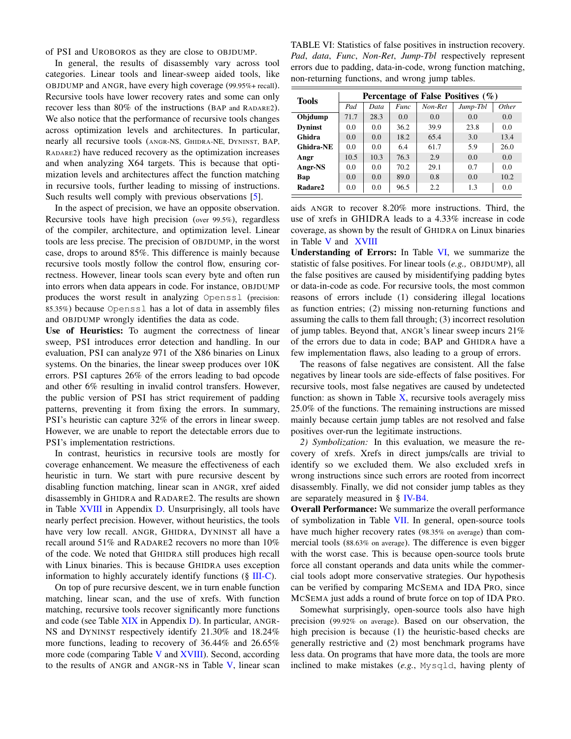of PSI and UROBOROS as they are close to OBJDUMP.

In general, the results of disassembly vary across tool categories. Linear tools and linear-sweep aided tools, like OBJDUMP and ANGR, have every high coverage (99.95%+ recall). Recursive tools have lower recovery rates and some can only recover less than 80% of the instructions (BAP and RADARE2). We also notice that the performance of recursive tools changes across optimization levels and architectures. In particular, nearly all recursive tools (ANGR-NS, GHIDRA-NE, DYNINST, BAP, RADARE2) have reduced recovery as the optimization increases and when analyzing X64 targets. This is because that optimization levels and architectures affect the function matching in recursive tools, further leading to missing of instructions. Such results well comply with previous observations [5].

In the aspect of precision, we have an opposite observation. Recursive tools have high precision (over 99.5%), regardless of the compiler, architecture, and optimization level. Linear tools are less precise. The precision of OBJDUMP, in the worst case, drops to around 85%. This difference is mainly because recursive tools mostly follow the control flow, ensuring correctness. However, linear tools scan every byte and often run into errors when data appears in code. For instance, OBJDUMP produces the worst result in analyzing Openssl (precision: 85.35%) because Openssl has a lot of data in assembly files and OBJDUMP wrongly identifies the data as code.

Use of Heuristics: To augment the correctness of linear sweep, PSI introduces error detection and handling. In our evaluation, PSI can analyze 971 of the X86 binaries on Linux systems. On the binaries, the linear sweep produces over 10K errors. PSI captures 26% of the errors leading to bad opcode and other 6% resulting in invalid control transfers. However, the public version of PSI has strict requirement of padding patterns, preventing it from fixing the errors. In summary, PSI's heuristic can capture 32% of the errors in linear sweep. However, we are unable to report the detectable errors due to PSI's implementation restrictions.

In contrast, heuristics in recursive tools are mostly for coverage enhancement. We measure the effectiveness of each heuristic in turn. We start with pure recursive descent by disabling function matching, linear scan in ANGR, xref aided disassembly in GHIDRA and RADARE2. The results are shown in Table XVIII in Appendix D. Unsurprisingly, all tools have nearly perfect precision. However, without heuristics, the tools have very low recall. ANGR, GHIDRA, DYNINST all have a recall around 51% and RADARE2 recovers no more than 10% of the code. We noted that GHIDRA still produces high recall with Linux binaries. This is because GHIDRA uses exception information to highly accurately identify functions  $(\S \text{ III}-C)$ .

On top of pure recursive descent, we in turn enable function matching, linear scan, and the use of xrefs. With function matching, recursive tools recover significantly more functions and code (see Table XIX in Appendix D). In particular, ANGR-NS and DYNINST respectively identify 21.30% and 18.24% more functions, leading to recovery of 36.44% and 26.65% more code (comparing Table V and XVIII). Second, according to the results of ANGR and ANGR-NS in Table V, linear scan

TABLE VI: Statistics of false positives in instruction recovery. *Pad*, *data*, *Func*, *Non-Ret*, *Jump-Tbl* respectively represent errors due to padding, data-in-code, wrong function matching, non-returning functions, and wrong jump tables.

| <b>Tools</b>     |      | Percentage of False Positives $(\% )$ |      |         |          |              |  |  |  |  |
|------------------|------|---------------------------------------|------|---------|----------|--------------|--|--|--|--|
|                  | Pad  | Data                                  | Func | Non-Ret | Jump-Tbl | <i>Other</i> |  |  |  |  |
| Objdump          | 71.7 | 28.3                                  | 0.0  | 0.0     | 0.0      | 0.0          |  |  |  |  |
| <b>Dyninst</b>   | 0.0  | 0.0                                   | 36.2 | 39.9    | 23.8     | 0.0          |  |  |  |  |
| Ghidra           | 0.0  | 0.0                                   | 18.2 | 65.4    | 3.0      | 13.4         |  |  |  |  |
| <b>Ghidra-NE</b> | 0.0  | 0.0                                   | 6.4  | 61.7    | 5.9      | 26.0         |  |  |  |  |
| Angr             | 10.5 | 10.3                                  | 76.3 | 2.9     | 0.0      | 0.0          |  |  |  |  |
| Angr-NS          | 0.0  | 0.0                                   | 70.2 | 29.1    | 0.7      | 0.0          |  |  |  |  |
| Bap              | 0.0  | 0.0                                   | 89.0 | 0.8     | 0.0      | 10.2         |  |  |  |  |
| Radare2          | 0.0  | 0.0                                   | 96.5 | 2.2     | 1.3      | 0.0          |  |  |  |  |

aids ANGR to recover 8.20% more instructions. Third, the use of xrefs in GHIDRA leads to a 4.33% increase in code coverage, as shown by the result of GHIDRA on Linux binaries in Table V and XVIII

Understanding of Errors: In Table VI, we summarize the statistic of false positives. For linear tools (*e.g.,* OBJDUMP), all the false positives are caused by misidentifying padding bytes or data-in-code as code. For recursive tools, the most common reasons of errors include (1) considering illegal locations as function entries; (2) missing non-returning functions and assuming the calls to them fall through; (3) incorrect resolution of jump tables. Beyond that, ANGR's linear sweep incurs 21% of the errors due to data in code; BAP and GHIDRA have a few implementation flaws, also leading to a group of errors.

The reasons of false negatives are consistent. All the false negatives by linear tools are side-effects of false positives. For recursive tools, most false negatives are caused by undetected function: as shown in Table  $X$ , recursive tools averagely miss 25.0% of the functions. The remaining instructions are missed mainly because certain jump tables are not resolved and false positives over-run the legitimate instructions.

*2) Symbolization:* In this evaluation, we measure the recovery of xrefs. Xrefs in direct jumps/calls are trivial to identify so we excluded them. We also excluded xrefs in wrong instructions since such errors are rooted from incorrect disassembly. Finally, we did not consider jump tables as they are separately measured in § IV-B4.

Overall Performance: We summarize the overall performance of symbolization in Table VII. In general, open-source tools have much higher recovery rates (98.35% on average) than commercial tools (88.63% on average). The difference is even bigger with the worst case. This is because open-source tools brute force all constant operands and data units while the commercial tools adopt more conservative strategies. Our hypothesis can be verified by comparing MCSEMA and IDA PRO, since MCSEMA just adds a round of brute force on top of IDA PRO.

Somewhat surprisingly, open-source tools also have high precision (99.92% on average). Based on our observation, the high precision is because (1) the heuristic-based checks are generally restrictive and (2) most benchmark programs have less data. On programs that have more data, the tools are more inclined to make mistakes (*e.g.*, Mysqld, having plenty of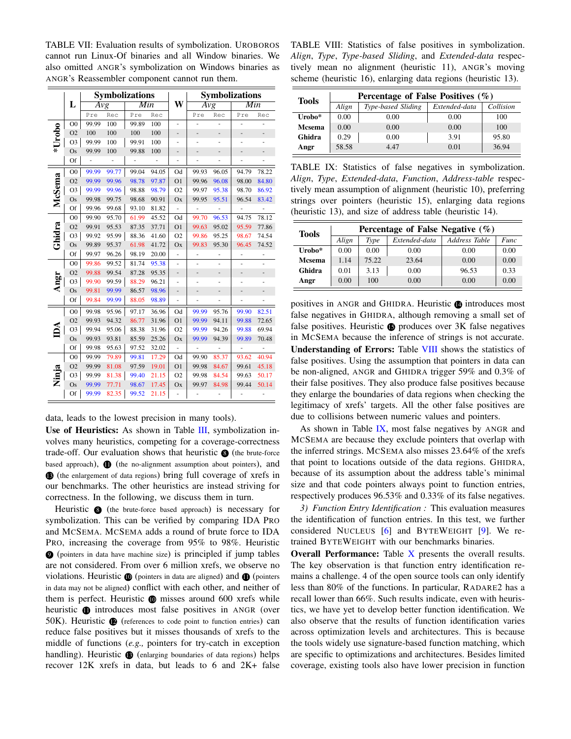TABLE VII: Evaluation results of symbolization. UROBOROS cannot run Linux-Of binaries and all Window binaries. We also omitted ANGR's symbolization on Windows binaries as ANGR's Reassembler component cannot run them.

|        |                | <b>Symbolizations</b> |       |       |       |                |       |                | <b>Symbolizations</b> |       |
|--------|----------------|-----------------------|-------|-------|-------|----------------|-------|----------------|-----------------------|-------|
|        | L              | Avg                   |       | Min   |       | W              | Avg   |                | Min                   |       |
|        |                | Pre                   | Rec   | Pre   | Rec   |                | Pre   | Rec            | Pre                   | Rec   |
|        | O <sub>0</sub> | 99.99                 | 100   | 99.89 | 100   | ٠              |       |                | ÷                     |       |
| *Urobo | O <sub>2</sub> | 100                   | 100   | 100   | 100   |                |       | -              |                       |       |
|        | O <sub>3</sub> | 99.99                 | 100   | 99.91 | 100   |                |       |                |                       |       |
|        | Os             | 99.99                 | 100   | 99.88 | 100   |                |       |                |                       |       |
|        | Of             | ÷                     | ÷     | ÷     | ÷     |                |       | ÷              |                       |       |
|        | O <sub>0</sub> | 99.99                 | 99.77 | 99.04 | 94.05 | Od             | 99.93 | 96.05          | 94.79                 | 78.22 |
|        | O2             | 99.99                 | 99.96 | 98.78 | 97.87 | O <sub>1</sub> | 99.96 | 96.08          | 98.00                 | 84.80 |
|        | O <sub>3</sub> | 99.99                 | 99.96 | 98.88 | 98.79 | O <sub>2</sub> | 99.97 | 95.38          | 98.70                 | 86.92 |
| McSema | Os             | 99.98                 | 99.75 | 98.68 | 90.91 | Ox             | 99.95 | 95.51          | 96.54                 | 83.42 |
|        | Of             | 99.96                 | 99.68 | 93.10 | 81.82 | ÷,             |       |                | ÷,                    |       |
|        | O <sub>0</sub> | 99.90                 | 95.70 | 61.99 | 45.52 | Od             | 99.70 | 96.53          | 94.75                 | 78.12 |
| Ghidra | O <sub>2</sub> | 99.91                 | 95.53 | 87.35 | 37.71 | O <sub>1</sub> | 99.63 | 95.02          | 95.59                 | 77.86 |
|        | O <sub>3</sub> | 99.92                 | 95.99 | 88.36 | 41.60 | O <sub>2</sub> | 99.86 | 95.25          | 98.67                 | 74.54 |
|        | Os             | 99.89                 | 95.37 | 61.98 | 41.72 | Ox             | 99.83 | 95.30          | 96.45                 | 74.52 |
|        | Of             | 99.97                 | 96.26 | 98.19 | 20.00 |                |       |                |                       |       |
|        | O <sub>0</sub> | 99.86                 | 99.52 | 81.74 | 95.38 | $\overline{a}$ | ÷     | $\overline{a}$ | ÷,                    |       |
|        | O <sub>2</sub> | 99.88                 | 99.54 | 87.28 | 95.35 | -              | -     | -              | -                     |       |
| Angr   | O <sub>3</sub> | 99.90                 | 99.59 | 88.29 | 96.21 | $\overline{a}$ | ۰     | $\overline{a}$ | ÷                     |       |
|        | Os             | 99.81                 | 99.99 | 86.57 | 98.96 | -              |       |                |                       |       |
|        | Of             | 99.84                 | 99.99 | 88.05 | 98.89 |                |       |                |                       |       |
|        | O <sub>0</sub> | 99.98                 | 95.96 | 97.17 | 36.96 | Od             | 99.99 | 95.76          | 99.90                 | 82.51 |
|        | O <sub>2</sub> | 99.93                 | 94.32 | 86.77 | 31.96 | O <sub>1</sub> | 99.99 | 94.11          | 99.88                 | 72.65 |
|        | O <sub>3</sub> | 99.94                 | 95.06 | 88.38 | 31.96 | O <sub>2</sub> | 99.99 | 94.26          | 99.88                 | 69.94 |
|        | Os             | 99.93                 | 93.81 | 85.59 | 25.26 | Ox             | 99.99 | 94.39          | 99.89                 | 70.48 |
|        | Of             | 99.98                 | 95.63 | 97.52 | 32.02 |                | ÷,    |                | ÷,                    | ÷,    |
|        | O <sub>0</sub> | 99.99                 | 79.89 | 99.81 | 17.29 | Od             | 99.90 | 85.37          | 93.62                 | 40.94 |
|        | O <sub>2</sub> | 99.99                 | 81.08 | 97.59 | 19.01 | O <sub>1</sub> | 99.98 | 84.67          | 99.61                 | 45.18 |
| Ninja  | O <sub>3</sub> | 99.99                 | 81.38 | 99.40 | 21.15 | O <sub>2</sub> | 99.98 | 84.54          | 99.63                 | 50.17 |
|        | Os             | 99.99                 | 77.71 | 98.67 | 17.45 | Ox             | 99.97 | 84.98          | 99.44                 | 50.14 |
|        | Of             | 99.99                 | 82.35 | 99.52 | 21.15 |                |       |                |                       |       |

data, leads to the lowest precision in many tools).

Use of Heuristics: As shown in Table III, symbolization involves many heuristics, competing for a coverage-correctness trade-off. Our evaluation shows that heuristic  $\bigcirc$  (the brute-force based approach),  $\bigoplus$  (the no-alignment assumption about pointers), and **13** (the enlargement of data regions) bring full coverage of xrefs in our benchmarks. The other heuristics are instead striving for correctness. In the following, we discuss them in turn.

Heuristic  $\bullet$  (the brute-force based approach) is necessary for symbolization. This can be verified by comparing IDA PRO and MCSEMA. MCSEMA adds a round of brute force to IDA PRO, increasing the coverage from 95% to 98%. Heuristic <sup>9</sup> (pointers in data have machine size) is principled if jump tables are not considered. From over 6 million xrefs, we observe no violations. Heuristic  $\bf{0}$  (pointers in data are aligned) and  $\bf{1}$  (pointers in data may not be aligned) conflict with each other, and neither of them is perfect. Heuristic  $\bf{0}$  misses around 600 xrefs while heuristic **1** introduces most false positives in ANGR (over 50K). Heuristic  $\bullet$  (references to code point to function entries) can reduce false positives but it misses thousands of xrefs to the middle of functions (*e.g.,* pointers for try-catch in exception handling). Heuristic **13** (enlarging boundaries of data regions) helps recover 12K xrefs in data, but leads to 6 and 2K+ false

TABLE VIII: Statistics of false positives in symbolization. *Align*, *Type*, *Type-based Sliding*, and *Extended-data* respectively mean no alignment (heuristic 11), ANGR's moving scheme (heuristic 16), enlarging data regions (heuristic 13).

| <b>Tools</b>  |       | Percentage of False Positives $(\% )$ |               |           |  |  |  |  |  |  |
|---------------|-------|---------------------------------------|---------------|-----------|--|--|--|--|--|--|
|               | Align | Type-based Sliding                    | Extended-data | Collision |  |  |  |  |  |  |
| Urobo*        | 0.00  | 0.00                                  | 0.00          | 100       |  |  |  |  |  |  |
| <b>Mcsema</b> | 0.00  | 0.00                                  | 0.00          | 100       |  |  |  |  |  |  |
| Ghidra        | 0.29  | 0.00                                  | 3.91          | 95.80     |  |  |  |  |  |  |
| Angr          | 58.58 | 4.47                                  | 0.01          | 36.94     |  |  |  |  |  |  |

TABLE IX: Statistics of false negatives in symbolization. *Align*, *Type*, *Extended-data*, *Function*, *Address-table* respectively mean assumption of alignment (heuristic 10), preferring strings over pointers (heuristic 15), enlarging data regions (heuristic 13), and size of address table (heuristic 14).

| <b>Tools</b> |       | Percentage of False Negative $(\%)$ |               |                      |             |  |  |  |  |  |
|--------------|-------|-------------------------------------|---------------|----------------------|-------------|--|--|--|--|--|
|              | Align | Type                                | Extended-data | <b>Address Table</b> | <b>Func</b> |  |  |  |  |  |
| Urobo*       | 0.00  | 0.00                                | 0.00          | 0.00                 | 0.00        |  |  |  |  |  |
| Mcsema       | 1.14  | 75.22                               | 23.64         | 0.00                 | 0.00        |  |  |  |  |  |
| Ghidra       | 0.01  | 3.13                                | 0.00          | 96.53                | 0.33        |  |  |  |  |  |
| Angr         | 0.00  | 100                                 | 0.00          | 0.00                 | 0.00        |  |  |  |  |  |

positives in ANGR and GHIDRA. Heuristic **@** introduces most false negatives in GHIDRA, although removing a small set of false positives. Heuristic  $\bullet$  produces over 3K false negatives in MCSEMA because the inference of strings is not accurate. Understanding of Errors: Table VIII shows the statistics of false positives. Using the assumption that pointers in data can be non-aligned, ANGR and GHIDRA trigger 59% and 0.3% of their false positives. They also produce false positives because they enlarge the boundaries of data regions when checking the legitimacy of xrefs' targets. All the other false positives are due to collisions between numeric values and pointers.

As shown in Table IX, most false negatives by ANGR and MCSEMA are because they exclude pointers that overlap with the inferred strings. MCSEMA also misses 23.64% of the xrefs that point to locations outside of the data regions. GHIDRA, because of its assumption about the address table's minimal size and that code pointers always point to function entries, respectively produces 96.53% and 0.33% of its false negatives.

*3) Function Entry Identification :* This evaluation measures the identification of function entries. In this test, we further considered NUCLEUS [6] and BYTEWEIGHT [9]. We retrained BYTEWEIGHT with our benchmarks binaries.

Overall Performance: Table  $X$  presents the overall results. The key observation is that function entry identification remains a challenge. 4 of the open source tools can only identify less than 80% of the functions. In particular, RADARE2 has a recall lower than 66%. Such results indicate, even with heuristics, we have yet to develop better function identification. We also observe that the results of function identification varies across optimization levels and architectures. This is because the tools widely use signature-based function matching, which are specific to optimizations and architectures. Besides limited coverage, existing tools also have lower precision in function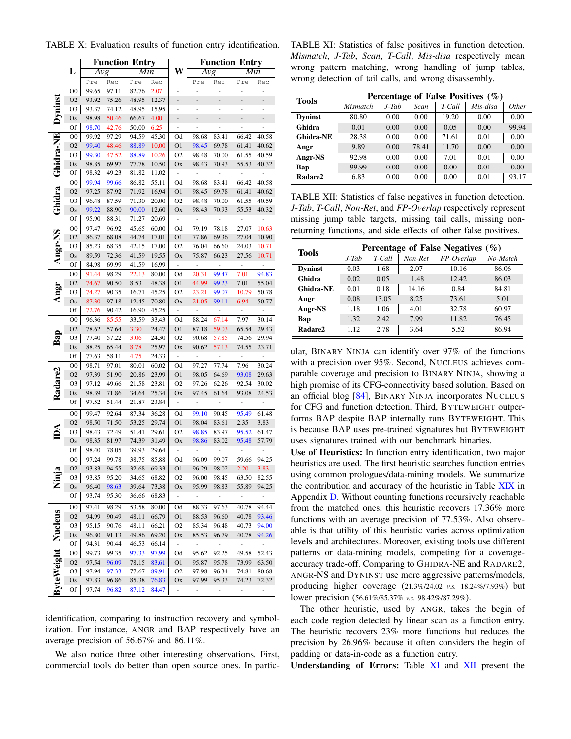|                     |                   | <b>Function Entry</b> |                |                |                |                          | <b>Function Entry</b> |                          |                          |                          |
|---------------------|-------------------|-----------------------|----------------|----------------|----------------|--------------------------|-----------------------|--------------------------|--------------------------|--------------------------|
|                     |                   |                       |                |                |                |                          |                       |                          |                          |                          |
|                     | L                 | Avg                   |                | Min            |                | W                        | Avg                   |                          | Min                      |                          |
|                     |                   | Pre                   | Rec            | Pre            | Rec            |                          | Pre                   | Rec                      | Pre                      | Rec                      |
|                     | O <sub>0</sub>    | 99.65                 | 97.11          | 82.76          | 2.07           | $\overline{a}$           |                       |                          | ÷                        |                          |
|                     | O <sub>2</sub>    | 93.92                 | 75.26          | 48.95          | 12.37          |                          |                       |                          | $\overline{a}$           |                          |
|                     | O3                | 93.37                 | 74.12          | 48.95          | 15.95          | ÷                        |                       |                          |                          |                          |
| Dyninst             | Os                | 98.98                 | 50.46          | 66.67          | 4.00           |                          |                       | -                        | -                        |                          |
|                     | Of                | 98.70                 | 42.76          | 50.00          | 6.25           | -                        |                       |                          | -                        | -                        |
| Ghidra-NE           | O <sub>0</sub>    | 99.92                 | 97.29          | 94.59          | 45.30          | Od                       | 98.68                 | 83.41                    | 66.42                    | 40.58                    |
|                     | O <sub>2</sub>    | 99.40                 | 48.46          | 88.89          | 10.00          | 01                       | 98.45                 | 69.78                    | 61.41                    | 40.62                    |
|                     | O3                | 99.30                 | 47.52          | 88.89          | 10.26          | O <sub>2</sub>           | 98.48                 | 70.00                    | 61.55                    | 40.59                    |
|                     | Os                | 98.85                 | 69.97          | 77.78          | 10.50          | Ox                       | 98.43                 | 70.93                    | 55.53                    | 40.32                    |
|                     | Of                | 98.32                 | 49.23          | 81.82          | 11.02          | $\overline{\phantom{a}}$ | ÷,                    |                          | ÷,                       | ÷                        |
|                     | $_{\rm OO}$       | 99.94                 | 99.66          | 86.82          | 55.11          | Od                       | 98.68                 | 83.41                    | 66.42                    | 40.58                    |
|                     | O <sub>2</sub>    | 97.25                 | 87.92          | 71.92          | 16.94          | 01                       | 98.45                 | 69.78                    | 61.41                    | 40.62                    |
| Ghidra              | O <sub>3</sub>    | 96.48<br>99.22        | 87.59          | 71.30          | 20.00          | O <sub>2</sub>           | 98.48<br>98.43        | 70.00                    | 61.55                    | 40.59                    |
|                     | Os                |                       | 88.90          | 90.00          | 12.60          | Ox                       |                       | 70.93                    | 55.53                    | 40.32                    |
|                     | Of<br>$_{\rm OO}$ | 95.90<br>97.47        | 88.31<br>96.92 | 71.27<br>45.65 | 20.69<br>60.00 | Od                       | 79.19                 | 78.18                    | 27.07                    |                          |
| Angr-NS             | O <sub>2</sub>    | 86.37                 | 68.08          | 44.74          | 17.01          | O <sub>1</sub>           | 77.86                 | 69.36                    | 27.04                    | 10.63<br>10.90           |
|                     | O3                | 85.23                 | 68.35          | 42.15          | 17.00          | O <sub>2</sub>           | 76.04                 | 66.60                    | 24.03                    | 10.71                    |
|                     | Os                | 89.59                 | 72.36          | 41.59          | 19.55          | Ox                       | 75.87                 | 66.23                    | 27.56                    | <u>10.71</u>             |
|                     | Of                | 84.98                 | 69.99          | 41.59          | 16.99          | ÷                        | ÷                     |                          | ÷                        |                          |
|                     | $_{\rm OO}$       | 91.44                 | 98.29          | 22.13          | 80.00          | Od                       | 20.31                 | 99.47                    | 7.01                     | 94.83                    |
|                     | O <sub>2</sub>    | 74.67                 | 90.50          | 8.53           | 48.38          | 01                       | 44.99                 | 99.23                    | 7.01                     | 55.04                    |
| Angr                | O3                | 74.27                 | 90.35          | 16.71          | 45.25          | O <sub>2</sub>           | 23.21                 | 99.07                    | 10.79                    | 50.78                    |
|                     | Os                | 87.30                 | 97.18          | 12.45          | 70.80          | Ox                       | 21.05                 | 99.11                    | 6.94                     | 50.77                    |
|                     | Of                | 72.76                 | 90.42          | 16.90          | 45.25          | ÷                        | ÷,                    | ÷,                       | ÷,                       |                          |
|                     | $_{\rm OO}$       | 96.36                 | 85.55          | 33.59          | 33.43          | Od                       | 88.24                 | 67.14                    | 7.97                     | 30.14                    |
|                     | O <sub>2</sub>    | 78.62                 | 57.64          | 3.30           | 24.47          | 01                       | 87.18                 | 59.03                    | 65.54                    | 29.43                    |
| Bap                 | O3                | 77.40                 | 57.22          | 3.06           | 24.30          | O <sub>2</sub>           | 90.68                 | 57.85                    | 74.56                    | 29.94                    |
|                     | Os                | 88.25                 | 65.44          | 8.78           | 25.97          | Ox                       | 90.62                 | 57.13                    | 74.55                    | 23.71                    |
|                     | Of                | 77.63                 | 58.11          | 4.75           | 24.33          |                          |                       |                          |                          |                          |
|                     | O <sub>0</sub>    | 98.71                 | 97.01          | 80.01          | 60.02          | Od                       | 97.27                 | 77.74                    | 7.96                     | 30.24                    |
|                     | O <sub>2</sub>    | 97.39                 | 51.90          | 20.86          | 23.99          | O <sub>1</sub>           | 98.05                 | 64.69                    | 93.08                    | 29.63                    |
|                     | O3                | 97.12                 | 49.66          | 21.58          | 23.81          | O <sub>2</sub>           | 97.26                 | 62.26                    | 92.54                    | 30.02                    |
| Radare <sub>2</sub> | Os                | 98.39                 | 71.86          | 34.64          | 25.34          | Ox                       | 97.45                 | 61.64                    | 93.08                    | 24.53                    |
|                     | Of                | 97.52                 | 51.44          | 21.87          | 23.84          |                          |                       |                          | -                        | -                        |
|                     | $_{\rm OO}$       | 99.47                 | 92.64          | 87.34          | 36.28          | Od                       | 99.10                 | 90.45                    | 95.49                    | 61.48                    |
|                     | O <sub>2</sub>    | 98.50                 | 71.50          | 53.25          | 29.74          | O <sub>1</sub>           | 98.04                 | 83.61                    | 2.35                     | 3.83                     |
|                     | O3                | 98.43                 | 72.49          | 51.41          | 29.61          | O2                       | 98.85                 | 83.97                    | 95.52                    | 61.47                    |
|                     | Os                | 98.35                 | 81.97          | 74.39          | 31.49          | Ox                       | 98.86                 | 83.02                    | 95.48                    | 57.79                    |
|                     | Of                | 98.40                 | 78.05          | 39.93          | 29.64          | ÷,                       |                       |                          |                          |                          |
|                     | $_{\rm OO}$       | 97.24                 | 99.78          | 38.75          | 85.88          | Od                       | 96.09                 | 99.07                    | 59.66                    | 94.25                    |
|                     | O <sub>2</sub>    | 93.83                 | 94.55          | 32.68          | 69.33          | O <sub>1</sub>           | 96.29                 | 98.02                    | 2.20                     | 3.83                     |
| Ninia               | O3                | 93.85                 | 95.20          | 34.65          | 68.82          | O <sub>2</sub>           | 96.00                 | 98.45                    | 63.50                    | 82.55                    |
|                     | Os                | 96.40                 | 98.63          | 39.64          | 73.38          | Ox                       | 95.99                 | 98.83                    | 55.89                    | 94.25                    |
|                     | Of                | 93.74                 | 95.30          | 36.66          | 68.83          | $\overline{\phantom{a}}$ | $\sim$                | $\overline{\phantom{a}}$ | $\overline{\phantom{a}}$ | $\overline{\phantom{a}}$ |
|                     | $_{\rm OO}$       | 97.41                 | 98.29          | 53.58          | 80.00          | Od                       | 88.33                 | 97.63                    | 40.78                    | 94.44                    |
|                     | O <sub>2</sub>    | 94.99                 | 90.49          | 48.11          | 66.79          | O <sub>1</sub>           | 88.53                 | 96.60                    | 40.78                    | 93.46                    |
|                     | O <sub>3</sub>    | 95.15                 | 90.76          | 48.11          | 66.21          | O <sub>2</sub>           | 85.34                 | 96.48                    | 40.73                    | 94.00                    |
|                     | Os                | 96.80                 | 91.13          | 49.86          | 69.20          | Ox                       | 85.53                 | 96.79                    | 40.78                    | 94.26                    |
|                     | Of                | 94.31                 | 90.44          | 46.53          | 66.14          | ۰                        | ÷                     | $\sim$                   | ÷                        | $\sim$                   |
|                     | $_{\rm OO}$       | 99.73                 | 99.35          | 97.33          | 97.99          | Od                       | 95.62                 | 92.25                    | 49.58                    | 52.43                    |
|                     | O <sub>2</sub>    | 97.54                 | 96.09          | 78.15          | 83.61          | O <sub>1</sub>           | 95.87                 | 95.78                    | 73.99                    | 63.50                    |
|                     | O <sub>3</sub>    | 97.94                 | 97.33          | 77.67          | 89.91          | O <sub>2</sub>           | 97.98                 | 96.34                    | 74.81                    | 80.68                    |
|                     | Os                | 97.83                 | 96.86          | 85.38          | 76.83          | Ox                       | 97.99                 | 95.33                    | 74.23                    | 72.32                    |
| ByteWeight Nucleus  | Of                | 97.74                 | 96.82          | 87.12          | 84.47          | -                        |                       | ÷                        | ÷                        | ÷                        |

TABLE X: Evaluation results of function entry identification.

identification, comparing to instruction recovery and symbolization. For instance, ANGR and BAP respectively have an average precision of 56.67% and 86.11%.

We also notice three other interesting observations. First, commercial tools do better than open source ones. In partic-

TABLE XI: Statistics of false positives in function detection. *Mismatch*, *J-Tab*, *Scan*, *T-Call*, *Mis-disa* respectively mean wrong pattern matching, wrong handling of jump tables, wrong detection of tail calls, and wrong disassembly.

| <b>Tools</b>     | Percentage of False Positives $(\% )$ |       |       |        |          |       |  |  |  |
|------------------|---------------------------------------|-------|-------|--------|----------|-------|--|--|--|
|                  | <i>Mismatch</i>                       | J-Tab | Scan  | T-Call | Mis-disa | Other |  |  |  |
| <b>Dyninst</b>   | 80.80                                 | 0.00  | 0.00  | 19.20  | 0.00     | 0.00  |  |  |  |
| Ghidra           | 0.01                                  | 0.00  | 0.00  | 0.05   | 0.00     | 99.94 |  |  |  |
| <b>Ghidra-NE</b> | 28.38                                 | 0.00  | 0.00  | 71.61  | 0.01     | 0.00  |  |  |  |
| Angr             | 9.89                                  | 0.00  | 78.41 | 11.70  | 0.00     | 0.00  |  |  |  |
| Angr-NS          | 92.98                                 | 0.00  | 0.00  | 7.01   | 0.01     | 0.00  |  |  |  |
| Bap              | 99.99                                 | 0.00  | 0.00  | 0.00   | 0.01     | 0.00  |  |  |  |
| Radare2          | 6.83                                  | 0.00  | 0.00  | 0.00   | 0.01     | 93.17 |  |  |  |

TABLE XII: Statistics of false negatives in function detection. *J-Tab*, *T-Call*, *Non-Ret*, and *FP-Overlap* respectively represent missing jump table targets, missing tail calls, missing nonreturning functions, and side effects of other false positives.

| <b>Tools</b>   | Percentage of False Negatives $(\% )$ |        |         |              |          |  |  |  |
|----------------|---------------------------------------|--------|---------|--------------|----------|--|--|--|
|                | $J$ -Tab                              | T-Call | Non-Ret | $FP-Overlap$ | No-Match |  |  |  |
| <b>Dyninst</b> | 0.03                                  | 1.68   | 2.07    | 10.16        | 86.06    |  |  |  |
| Ghidra         | 0.02                                  | 0.05   | 1.48    | 12.42        | 86.03    |  |  |  |
| Ghidra-NE      | 0.01                                  | 0.18   | 14.16   | 0.84         | 84.81    |  |  |  |
| Angr           | 0.08                                  | 13.05  | 8.25    | 73.61        | 5.01     |  |  |  |
| Angr-NS        | 1.18                                  | 1.06   | 4.01    | 32.78        | 60.97    |  |  |  |
| Bap            | 1.32                                  | 2.42   | 7.99    | 11.82        | 76.45    |  |  |  |
| Radare2        | 1.12                                  | 2.78   | 3.64    | 5.52         | 86.94    |  |  |  |

ular, BINARY NINJA can identify over 97% of the functions with a precision over 95%. Second, NUCLEUS achieves comparable coverage and precision to BINARY NINJA, showing a high promise of its CFG-connectivity based solution. Based on an official blog [84], BINARY NINJA incorporates NUCLEUS for CFG and function detection. Third, BYTEWEIGHT outperforms BAP despite BAP internally runs BYTEWEIGHT. This is because BAP uses pre-trained signatures but BYTEWEIGHT uses signatures trained with our benchmark binaries.

Use of Heuristics: In function entry identification, two major heuristics are used. The first heuristic searches function entries using common prologues/data-mining models. We summarize the contribution and accuracy of the heuristic in Table XIX in Appendix D. Without counting functions recursively reachable from the matched ones, this heuristic recovers 17.36% more functions with an average precision of 77.53%. Also observable is that utility of this heuristic varies across optimization levels and architectures. Moreover, existing tools use different patterns or data-mining models, competing for a coverageaccuracy trade-off. Comparing to GHIDRA-NE and RADARE2, ANGR-NS and DYNINST use more aggressive patterns/models, producing higher coverage (21.3%/24.02 *v.s.* 18.24%/7.93%) but lower precision (56.61%/85.37% *v.s.* 98.42%/87.29%).

The other heuristic, used by ANGR, takes the begin of each code region detected by linear scan as a function entry. The heuristic recovers 23% more functions but reduces the precision by 26.96% because it often considers the begin of padding or data-in-code as a function entry.

Understanding of Errors: Table XI and XII present the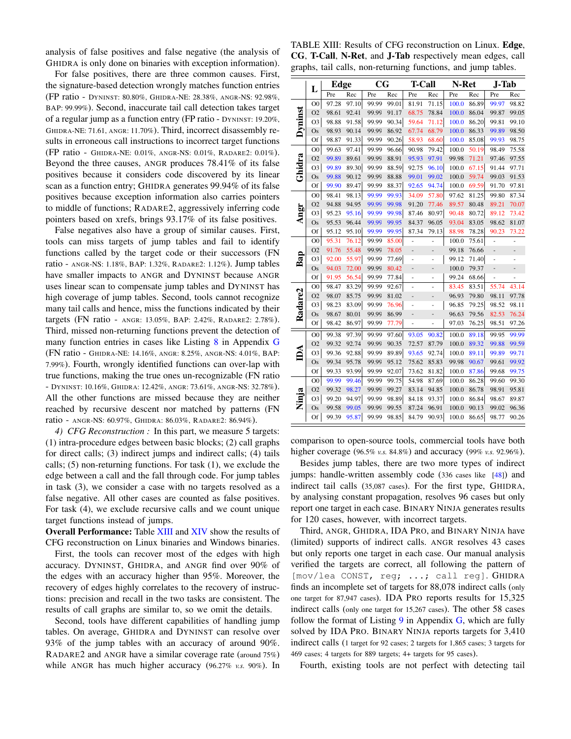analysis of false positives and false negative (the analysis of GHIDRA is only done on binaries with exception information).

For false positives, there are three common causes. First, the signature-based detection wrongly matches function entries (FP ratio - DYNINST: 80.80%, GHIDRA-NE: 28.38%, ANGR-NS: 92.98%, BAP: 99.99%). Second, inaccurate tail call detection takes target of a regular jump as a function entry (FP ratio - DYNINST: 19.20%, GHIDRA-NE: 71.61, ANGR: 11.70%). Third, incorrect disassembly results in erroneous call instructions to incorrect target functions (FP ratio - GHIDRA-NE: 0.01%, ANGR-NS: 0.01%, RADARE2: 0.01%). Beyond the three causes, ANGR produces 78.41% of its false positives because it considers code discovered by its linear scan as a function entry; GHIDRA generates 99.94% of its false positives because exception information also carries pointers to middle of functions; RADARE2, aggressively inferring code pointers based on xrefs, brings 93.17% of its false positives.

False negatives also have a group of similar causes. First, tools can miss targets of jump tables and fail to identify functions called by the target code or their successors (FN ratio - ANGR-NS: 1.18%, BAP: 1.32%, RADARE2: 1.12%). Jump tables have smaller impacts to ANGR and DYNINST because ANGR uses linear scan to compensate jump tables and DYNINST has high coverage of jump tables. Second, tools cannot recognize many tail calls and hence, miss the functions indicated by their targets (FN ratio - ANGR: 13.05%, BAP: 2.42%, RADARE2: 2.78%). Third, missed non-returning functions prevent the detection of many function entries in cases like Listing 8 in Appendix G (FN ratio - GHIDRA-NE: 14.16%, ANGR: 8.25%, ANGR-NS: 4.01%, BAP: 7.99%). Fourth, wrongly identified functions can over-lap with true functions, making the true ones un-recognizable (FN ratio - DYNINST: 10.16%, GHIDRA: 12.42%, ANGR: 73.61%, ANGR-NS: 32.78%). All the other functions are missed because they are neither reached by recursive descent nor matched by patterns (FN ratio - ANGR-NS: 60.97%, GHIDRA: 86.03%, RADARE2: 86.94%).

*4) CFG Reconstruction :* In this part, we measure 5 targets: (1) intra-procedure edges between basic blocks; (2) call graphs for direct calls; (3) indirect jumps and indirect calls; (4) tails calls; (5) non-returning functions. For task (1), we exclude the edge between a call and the fall through code. For jump tables in task (3), we consider a case with no targets resolved as a false negative. All other cases are counted as false positives. For task (4), we exclude recursive calls and we count unique target functions instead of jumps.

Overall Performance: Table XIII and XIV show the results of CFG reconstruction on Linux binaries and Windows binaries.

First, the tools can recover most of the edges with high accuracy. DYNINST, GHIDRA, and ANGR find over 90% of the edges with an accuracy higher than 95%. Moreover, the recovery of edges highly correlates to the recovery of instructions: precision and recall in the two tasks are consistent. The results of call graphs are similar to, so we omit the details.

Second, tools have different capabilities of handling jump tables. On average, GHIDRA and DYNINST can resolve over 93% of the jump tables with an accuracy of around 90%. RADARE2 and ANGR have a similar coverage rate (around 75%) while ANGR has much higher accuracy (96.27% *v.s.* 90%). In

TABLE XIII: Results of CFG reconstruction on Linux. Edge, CG, T-Call, N-Ret, and J-Tab respectively mean edges, call graphs, tail calls, non-returning functions, and jump tables.

|                     | L              | Edge  |       | $_{\rm CG}$ |       | <b>T-Call</b>  |                | N-Ret |       | <b>J-Tab</b> |       |
|---------------------|----------------|-------|-------|-------------|-------|----------------|----------------|-------|-------|--------------|-------|
|                     |                | Pre   | Rec   | Pre         | Rec   | Pre            | Rec            | Pre   | Rec   | Pre          | Rec   |
|                     | O <sub>0</sub> | 97.28 | 97.10 | 99.99       | 99.01 | 81.91          | 71.15          | 100.0 | 86.89 | 99.97        | 98.82 |
|                     | O <sub>2</sub> | 98.61 | 92.41 | 99.99       | 91.17 | 68.75          | 78.84          | 100.0 | 86.04 | 99.87        | 99.05 |
| Dyninst             | O <sub>3</sub> | 98.88 | 91.58 | 99.99       | 90.34 | 59.64          | 71.12          | 100.0 | 86.20 | 99.81        | 99.10 |
|                     | Os             | 98.93 | 90.14 | 99.99       | 86.92 | 67.74          | 68.79          | 100.0 | 86.33 | 99.89        | 98.50 |
|                     | Of             | 98.87 | 91.33 | 99.99       | 90.26 | 58.93          | 68.60          | 100.0 | 85.08 | 99.93        | 98.75 |
|                     | O <sub>0</sub> | 99.63 | 97.41 | 99.99       | 96.66 | 90.98          | 79.42          | 100.0 | 50.19 | 98.49        | 75.58 |
| Ghidra              | O <sub>2</sub> | 99.89 | 89.61 | 99.99       | 88.91 | 95.93          | 97.91          | 99.98 | 71.21 | 97.46        | 97.55 |
|                     | O <sub>3</sub> | 99.89 | 89.30 | 99.99       | 88.59 | 92.75          | 96.10          | 100.0 | 67.15 | 91.44        | 97.71 |
|                     | Os             | 99.88 | 90.12 | 99.99       | 88.88 | 99.01          | 99.02          | 100.0 | 59.74 | 99.03        | 91.53 |
|                     | Of             | 99.90 | 89.47 | 99.99       | 88.37 | 92.65          | 94.74          | 100.0 | 69.59 | 91.70        | 97.81 |
|                     | O <sub>0</sub> | 98.41 | 98.13 | 99.99       | 99.93 | 34.09          | 57.80          | 97.62 | 81.25 | 99.80        | 87.34 |
|                     | O <sub>2</sub> | 94.88 | 94.95 | 99.99       | 99.98 | 91.20          | 77.46          | 89.57 | 80.48 | 89.21        | 70.07 |
| Angr                | O <sub>3</sub> | 95.23 | 95.16 | 99.99       | 99.98 | 87.46          | 80.97          | 90.48 | 80.72 | 89.12        | 73.42 |
|                     | Os             | 95.53 | 96.44 | 99.99       | 99.95 | 84.37          | 96.05          | 93.04 | 83.05 | 98.62        | 81.07 |
|                     | Of             | 95.12 | 95.10 | 99.99       | 99.95 | 87.34          | 79.13          | 88.98 | 78.28 | 90.23        | 73.22 |
|                     | O <sub>0</sub> | 95.31 | 76.12 | 99.99       | 85.00 |                |                | 100.0 | 75.61 | ÷,           |       |
|                     | O <sub>2</sub> | 91.76 | 55.48 | 99.99       | 78.05 | ÷,             | $\overline{a}$ | 99.18 | 76.66 | -            | -     |
| Bap                 | O <sub>3</sub> | 92.00 | 55.97 | 99.99       | 77.69 | -              | ÷,             | 99.12 | 71.40 | L,           |       |
|                     | Os             | 94.03 | 72.00 | 99.99       | 80.42 | $\overline{a}$ | -              | 100.0 | 79.37 | -            |       |
|                     | Of             | 91.95 | 56.54 | 99.99       | 77.84 | ÷,             | ÷              | 99.24 | 68.66 | -            |       |
|                     | O <sub>0</sub> | 98.47 | 83.29 | 99.99       | 92.67 | ÷,             | ÷              | 83.45 | 83.51 | 55.74        | 43.14 |
|                     | O <sub>2</sub> | 98.07 | 85.75 | 99.99       | 81.02 | ÷,             | -              | 96.93 | 79.80 | 98.11        | 97.78 |
|                     | O <sub>3</sub> | 98.23 | 83.09 | 99.99       | 76.96 | ÷,             | ÷,             | 96.85 | 79.25 | 98.52        | 98.11 |
| Radare <sub>2</sub> | Os             | 98.67 | 80.01 | 99.99       | 86.99 | -              | -              | 96.63 | 79.56 | 82.53        | 76.24 |
|                     | Of             | 98.42 | 86.97 | 99.99       | 77.79 | ä,             | ÷,             | 97.03 | 76.25 | 98.51        | 97.26 |
|                     | O <sub>0</sub> | 99.38 | 97.39 | 99.99       | 97.60 | 93.05          | 90.82          | 100.0 | 89.18 | 99.95        | 99.99 |
|                     | O <sub>2</sub> | 99.32 | 92.74 | 99.99       | 90.35 | 72.57          | 87.79          | 100.0 | 89.32 | 99.88        | 99.59 |
| ΔÂ                  | O <sub>3</sub> | 99.36 | 92.88 | 99.99       | 89.89 | 93.65          | 92.74          | 100.0 | 89.11 | 99.89        | 99.71 |
|                     | Os             | 99.34 | 95.78 | 99.99       | 95.12 | 75.62          | 85.83          | 99.98 | 90.67 | 99.61        | 99.92 |
|                     | Of             | 99.33 | 93.99 | 99.99       | 92.07 | 73.62          | 81.82          | 100.0 | 87.86 | 99.68        | 99.75 |
|                     | $_{\rm OO}$    | 99.99 | 99.46 | 99.99       | 99.75 | 54.98          | 87.69          | 100.0 | 86.28 | 99.60        | 99.30 |
|                     | O <sub>2</sub> | 99.32 | 98.27 | 99.99       | 99.27 | 83.14          | 94.85          | 100.0 | 86.78 | 98.91        | 95.81 |
| Ninja               | O <sub>3</sub> | 99.20 | 94.97 | 99.99       | 98.89 | 84.18          | 93.37          | 100.0 | 86.84 | 98.67        | 89.87 |
|                     | Os             | 99.58 | 99.05 | 99.99       | 99.55 | 87.24          | 96.91          | 100.0 | 90.13 | 99.02        | 96.36 |
|                     | Of             | 99.39 | 95.87 | 99.99       | 98.85 | 84.79          | 90.93          | 100.0 | 86.65 | 98.77        | 90.26 |

comparison to open-source tools, commercial tools have both higher coverage (96.5% *v.s.* 84.8%) and accuracy (99% *v.s.* 92.96%).

Besides jump tables, there are two more types of indirect jumps: handle-written assembly code (336 cases like [48]) and indirect tail calls (35,087 cases). For the first type, GHIDRA, by analysing constant propagation, resolves 96 cases but only report one target in each case. BINARY NINJA generates results for 120 cases, however, with incorrect targets.

Third, ANGR, GHIDRA, IDA PRO, and BINARY NINJA have (limited) supports of indirect calls. ANGR resolves 43 cases but only reports one target in each case. Our manual analysis verified the targets are correct, all following the pattern of [mov/lea CONST, reg; ...; call reg]. GHIDRA finds an incomplete set of targets for 88,078 indirect calls (only one target for 87,947 cases). IDA PRO reports results for 15,325 indirect calls (only one target for 15,267 cases). The other 58 cases follow the format of Listing  $9$  in Appendix  $G$ , which are fully solved by IDA PRO. BINARY NINJA reports targets for 3,410 indirect calls (1 target for 92 cases; 2 targets for 1,865 cases; 3 targets for 469 cases; 4 targets for 889 targets; 4+ targets for 95 cases).

Fourth, existing tools are not perfect with detecting tail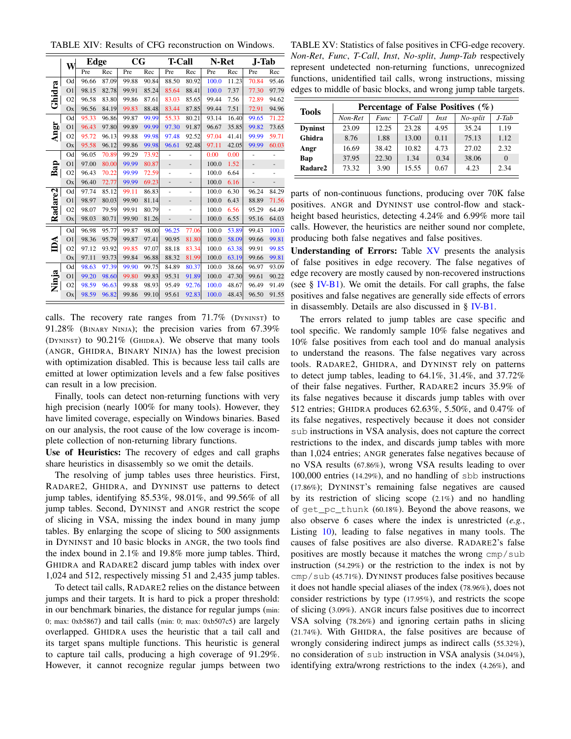TABLE XIV: Results of CFG reconstruction on Windows.

|                     | W              | <b>Edge</b> |       | $_{\rm CG}$ |       | T-Call                       |                          | N-Ret |       | J-Tab                    |       |
|---------------------|----------------|-------------|-------|-------------|-------|------------------------------|--------------------------|-------|-------|--------------------------|-------|
|                     |                | Pre         | Rec   | Pre         | Rec   | Pre                          | Rec                      | Pre   | Rec   | Pre                      | Rec   |
|                     | Od             | 96.66       | 87.09 | 99.88       | 90.84 | 88.50                        | 80.92                    | 100.0 | 11.23 | 70.84                    | 95.46 |
|                     | O <sub>1</sub> | 98.15       | 82.78 | 99.91       | 85.24 | 85.64                        | 88.41                    | 100.0 | 7.37  | 77.30                    | 97.79 |
| Ghidra              | O <sub>2</sub> | 96.58       | 83.80 | 99.86       | 87.61 | 83.03                        | 85.65                    | 99.44 | 7.56  | 72.89                    | 94.62 |
|                     | Ox             | 96.56       | 84.19 | 99.83       | 88.48 | 83.44                        | 87.85                    | 99.44 | 7.51  | 72.91                    | 94.96 |
|                     | Od             | 95.33       | 96.86 | 99.87       | 99.99 | 55.33                        | 80.21                    | 93.14 | 16.40 | 99.65                    | 71.22 |
|                     | O <sub>1</sub> | 96.43       | 97.80 | 99.89       | 99.99 | 97.30                        | 91.87                    | 96.67 | 35.85 | 99.82                    | 73.65 |
| Angr                | O <sub>2</sub> | 95.72       | 96.13 | 99.88       | 99.98 | 97.48                        | 92.52                    | 97.04 | 41.41 | 99.99                    | 59.71 |
|                     | Ox             | 95.58       | 96.12 | 99.86       | 99.98 | 96.61                        | 92.48                    | 97.11 | 42.05 | 99.99                    | 60.03 |
|                     | Od             | 96.05       | 70.89 | 99.29       | 73.92 | ä,                           | ÷,                       | 0.00  | 0.00  | ٠                        | ٠     |
| Bap                 | O <sub>1</sub> | 97.00       | 80.00 | 99.99       | 80.87 | ٠                            | $\overline{\phantom{0}}$ | 100.0 | 1.52  | $\overline{\phantom{m}}$ | -     |
|                     | O <sub>2</sub> | 96.43       | 70.22 | 99.99       | 72.59 |                              | ٠                        | 100.0 | 6.64  |                          |       |
|                     | Ox             | 96.40       | 72.77 | 99.99       | 69.23 | $\qquad \qquad \blacksquare$ | $\overline{\phantom{0}}$ | 100.0 | 6.16  | $\overline{a}$           |       |
|                     | Od             | 97.74       | 85.12 | 99.11       | 86.83 | ٠                            | ٠                        | 100.0 | 6.30  | 96.24                    | 84.29 |
|                     | O <sub>1</sub> | 98.97       | 80.03 | 99.90       | 81.14 | $\overline{a}$               | -                        | 100.0 | 6.43  | 88.89                    | 71.56 |
| Radare <sub>2</sub> | O <sub>2</sub> | 98.07       | 79.59 | 99.91       | 80.79 | ä,                           | ٠                        | 100.0 | 6.56  | 95.29                    | 64.49 |
|                     | Ox             | 98.03       | 80.71 | 99.90       | 81.26 | $\overline{a}$               | $\overline{a}$           | 100.0 | 6.55  | 95.16                    | 64.03 |
|                     | Od             | 96.98       | 95.77 | 99.87       | 98.00 | 96.25                        | 77.06                    | 100.0 | 53.89 | 99.43                    | 100.0 |
|                     | O <sub>1</sub> | 98.36       | 95.79 | 99.87       | 97.41 | 90.95                        | 81.80                    | 100.0 | 58.09 | 99.66                    | 99.81 |
| IDА                 | O <sub>2</sub> | 97.12       | 93.92 | 99.85       | 97.07 | 88.18                        | 83.34                    | 100.0 | 63.38 | 99.91                    | 99.85 |
|                     | Ox             | 97.11       | 93.73 | 99.84       | 96.88 | 88.32                        | 81.99                    | 100.0 | 63.19 | 99.66                    | 99.81 |
|                     | Od             | 98.63       | 97.39 | 99.90       | 99.75 | 84.89                        | 80.37                    | 100.0 | 38.66 | 96.97                    | 93.09 |
|                     | O <sub>1</sub> | 99.20       | 98.60 | 99.80       | 99.83 | 95.31                        | 91.89                    | 100.0 | 47.30 | 99.61                    | 90.22 |
| Ninja               | O <sub>2</sub> | 98.59       | 96.63 | 99.88       | 98.93 | 95.49                        | 92.76                    | 100.0 | 48.67 | 96.49                    | 91.49 |
|                     | Ox             | 98.59       | 96.82 | 99.86       | 99.10 | 95.61                        | 92.83                    | 100.0 | 48.43 | 96.50                    | 91.55 |

calls. The recovery rate ranges from 71.7% (DYNINST) to 91.28% (BINARY NINJA); the precision varies from 67.39% (DYNINST) to 90.21% (GHIDRA). We observe that many tools (ANGR, GHIDRA, BINARY NINJA) has the lowest precision with optimization disabled. This is because less tail calls are emitted at lower optimization levels and a few false positives can result in a low precision.

Finally, tools can detect non-returning functions with very high precision (nearly 100% for many tools). However, they have limited coverage, especially on Windows binaries. Based on our analysis, the root cause of the low coverage is incomplete collection of non-returning library functions.

Use of Heuristics: The recovery of edges and call graphs share heuristics in disassembly so we omit the details.

The resolving of jump tables uses three heuristics. First, RADARE2, GHIDRA, and DYNINST use patterns to detect jump tables, identifying 85.53%, 98.01%, and 99.56% of all jump tables. Second, DYNINST and ANGR restrict the scope of slicing in VSA, missing the index bound in many jump tables. By enlarging the scope of slicing to 500 assignments in DYNINST and 10 basic blocks in ANGR, the two tools find the index bound in 2.1% and 19.8% more jump tables. Third, GHIDRA and RADARE2 discard jump tables with index over 1,024 and 512, respectively missing 51 and 2,435 jump tables.

To detect tail calls, RADARE2 relies on the distance between jumps and their targets. It is hard to pick a proper threshold: in our benchmark binaries, the distance for regular jumps (min: 0; max: 0xb5867) and tail calls (min: 0; max: 0xb507c5) are largely overlapped. GHIDRA uses the heuristic that a tail call and its target spans multiple functions. This heuristic is general to capture tail calls, producing a high coverage of 91.29%. However, it cannot recognize regular jumps between two

TABLE XV: Statistics of false positives in CFG-edge recovery. *Non-Ret*, *Func*, *T-Call*, *Inst*, *No-split*, *Jump-Tab* respectively represent undetected non-returning functions, unrecognized functions, unidentified tail calls, wrong instructions, missing edges to middle of basic blocks, and wrong jump table targets.

| <b>Tools</b>   |         |       |        |             | Percentage of False Positives $(\% )$ |          |
|----------------|---------|-------|--------|-------------|---------------------------------------|----------|
|                | Non-Ret | Func  | T-Call | <i>Inst</i> | No-split                              | $J$ -Tab |
| <b>Dyninst</b> | 23.09   | 12.25 | 23.28  | 4.95        | 35.24                                 | 1.19     |
| Ghidra         | 8.76    | 1.88  | 13.00  | 0.11        | 75.13                                 | 1.12     |
| Angr           | 16.69   | 38.42 | 10.82  | 4.73        | 27.02                                 | 2.32     |
| Bap            | 37.95   | 22.30 | 1.34   | 0.34        | 38.06                                 | $\Omega$ |
| Radare2        | 73.32   | 3.90  | 15.55  | 0.67        | 4.23                                  | 2.34     |

parts of non-continuous functions, producing over 70K false positives. ANGR and DYNINST use control-flow and stackheight based heuristics, detecting 4.24% and 6.99% more tail calls. However, the heuristics are neither sound nor complete, producing both false negatives and false positives.

Understanding of Errors: Table XV presents the analysis of false positives in edge recovery. The false negatives of edge recovery are mostly caused by non-recovered instructions (see § IV-B1). We omit the details. For call graphs, the false positives and false negatives are generally side effects of errors in disassembly. Details are also discussed in § IV-B1.

The errors related to jump tables are case specific and tool specific. We randomly sample 10% false negatives and 10% false positives from each tool and do manual analysis to understand the reasons. The false negatives vary across tools. RADARE2, GHIDRA, and DYNINST rely on patterns to detect jump tables, leading to 64.1%, 31.4%, and 37.72% of their false negatives. Further, RADARE2 incurs 35.9% of its false negatives because it discards jump tables with over 512 entries; GHIDRA produces 62.63%, 5.50%, and 0.47% of its false negatives, respectively because it does not consider sub instructions in VSA analysis, does not capture the correct restrictions to the index, and discards jump tables with more than 1,024 entries; ANGR generates false negatives because of no VSA results (67.86%), wrong VSA results leading to over 100,000 entries (14.29%), and no handling of sbb instructions (17.86%); DYNINST's remaining false negatives are caused by its restriction of slicing scope (2.1%) and no handling of get\_pc\_thunk (60.18%). Beyond the above reasons, we also observe 6 cases where the index is unrestricted (*e.g.*, Listing 10), leading to false negatives in many tools. The causes of false positives are also diverse. RADARE2's false positives are mostly because it matches the wrong cmp/sub instruction (54.29%) or the restriction to the index is not by cmp/sub (45.71%). DYNINST produces false positives because it does not handle special aliases of the index (78.96%), does not consider restrictions by type (17.95%), and restricts the scope of slicing (3.09%). ANGR incurs false positives due to incorrect VSA solving (78.26%) and ignoring certain paths in slicing (21.74%). With GHIDRA, the false positives are because of wrongly considering indirect jumps as indirect calls (55.32%), no consideration of sub instruction in VSA analysis (34.04%), identifying extra/wrong restrictions to the index (4.26%), and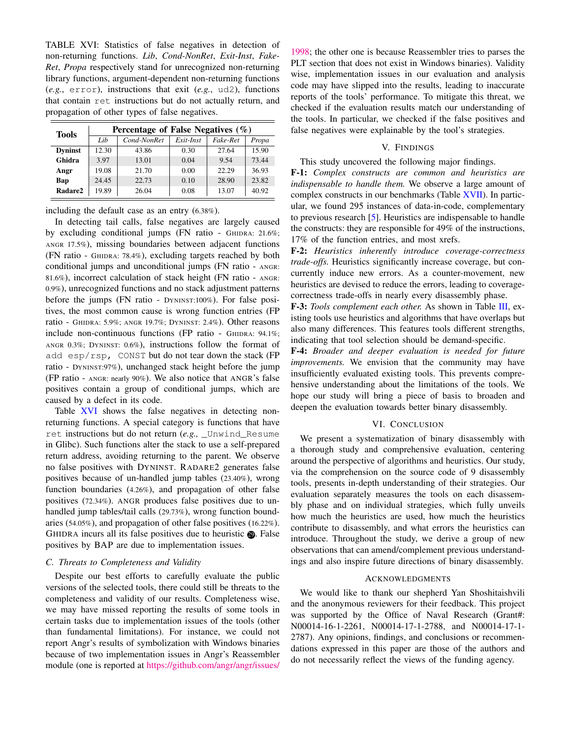TABLE XVI: Statistics of false negatives in detection of non-returning functions. *Lib*, *Cond-NonRet*, *Exit-Inst*, *Fake-Ret*, *Propa* respectively stand for unrecognized non-returning library functions, argument-dependent non-returning functions (*e.g.*, error), instructions that exit (*e.g.*, ud2), functions that contain ret instructions but do not actually return, and propagation of other types of false negatives.

| <b>Tools</b>   |       | Percentage of False Negatives $(\% )$ |           |          |       |  |  |  |  |  |  |
|----------------|-------|---------------------------------------|-----------|----------|-------|--|--|--|--|--|--|
|                | Lib   | Cond-NonRet                           | Exit-Inst | Fake-Ret | Propa |  |  |  |  |  |  |
| <b>Dyninst</b> | 12.30 | 43.86                                 | 0.30      | 27.64    | 15.90 |  |  |  |  |  |  |
| Ghidra         | 3.97  | 13.01                                 | 0.04      | 9.54     | 73.44 |  |  |  |  |  |  |
| Angr           | 19.08 | 21.70                                 | 0.00      | 22.29    | 36.93 |  |  |  |  |  |  |
| Bap            | 24.45 | 22.73                                 | 0.10      | 28.90    | 23.82 |  |  |  |  |  |  |
| Radare2        | 19.89 | 26.04                                 | 0.08      | 13.07    | 40.92 |  |  |  |  |  |  |

including the default case as an entry (6.38%).

In detecting tail calls, false negatives are largely caused by excluding conditional jumps (FN ratio - GHIDRA: 21.6%; ANGR 17.5%), missing boundaries between adjacent functions (FN ratio - GHIDRA: 78.4%), excluding targets reached by both conditional jumps and unconditional jumps (FN ratio - ANGR: 81.6%), incorrect calculation of stack height (FN ratio - ANGR: 0.9%), unrecognized functions and no stack adjustment patterns before the jumps (FN ratio - DYNINST:100%). For false positives, the most common cause is wrong function entries (FP ratio - GHIDRA: 5.9%; ANGR 19.7%; DYNINST: 2.4%). Other reasons include non-continuous functions (FP ratio - GHIDRA: 94.1%; ANGR 0.3%; DYNINST: 0.6%), instructions follow the format of add esp/rsp, CONST but do not tear down the stack (FP ratio - DYNINST:97%), unchanged stack height before the jump (FP ratio - ANGR: nearly 90%). We also notice that ANGR's false positives contain a group of conditional jumps, which are caused by a defect in its code.

Table XVI shows the false negatives in detecting nonreturning functions. A special category is functions that have ret instructions but do not return (*e.g.,* \_Unwind\_Resume in Glibc). Such functions alter the stack to use a self-prepared return address, avoiding returning to the parent. We observe no false positives with DYNINST. RADARE2 generates false positives because of un-handled jump tables (23.40%), wrong function boundaries (4.26%), and propagation of other false positives (72.34%). ANGR produces false positives due to unhandled jump tables/tail calls (29.73%), wrong function boundaries (54.05%), and propagation of other false positives (16.22%). GHIDRA incurs all its false positives due to heuristic **.** False positives by BAP are due to implementation issues.

#### *C. Threats to Completeness and Validity*

Despite our best efforts to carefully evaluate the public versions of the selected tools, there could still be threats to the completeness and validity of our results. Completeness wise, we may have missed reporting the results of some tools in certain tasks due to implementation issues of the tools (other than fundamental limitations). For instance, we could not report Angr's results of symbolization with Windows binaries because of two implementation issues in Angr's Reassembler module (one is reported at https://github.com/angr/angr/issues/

1998; the other one is because Reassembler tries to parses the PLT section that does not exist in Windows binaries). Validity wise, implementation issues in our evaluation and analysis code may have slipped into the results, leading to inaccurate reports of the tools' performance. To mitigate this threat, we checked if the evaluation results match our understanding of the tools. In particular, we checked if the false positives and false negatives were explainable by the tool's strategies.

## V. FINDINGS

## This study uncovered the following major findings.

F-1: *Complex constructs are common and heuristics are indispensable to handle them.* We observe a large amount of complex constructs in our benchmarks (Table XVII). In particular, we found 295 instances of data-in-code, complementary to previous research [5]. Heuristics are indispensable to handle the constructs: they are responsible for 49% of the instructions, 17% of the function entries, and most xrefs.

F-2: *Heuristics inherently introduce coverage-correctness trade-offs.* Heuristics significantly increase coverage, but concurrently induce new errors. As a counter-movement, new heuristics are devised to reduce the errors, leading to coveragecorrectness trade-offs in nearly every disassembly phase.

F-3: *Tools complement each other.* As shown in Table III, existing tools use heuristics and algorithms that have overlaps but also many differences. This features tools different strengths, indicating that tool selection should be demand-specific.

F-4: *Broader and deeper evaluation is needed for future improvements.* We envision that the community may have insufficiently evaluated existing tools. This prevents comprehensive understanding about the limitations of the tools. We hope our study will bring a piece of basis to broaden and deepen the evaluation towards better binary disassembly.

#### VI. CONCLUSION

We present a systematization of binary disassembly with a thorough study and comprehensive evaluation, centering around the perspective of algorithms and heuristics. Our study, via the comprehension on the source code of 9 disassembly tools, presents in-depth understanding of their strategies. Our evaluation separately measures the tools on each disassembly phase and on individual strategies, which fully unveils how much the heuristics are used, how much the heuristics contribute to disassembly, and what errors the heuristics can introduce. Throughout the study, we derive a group of new observations that can amend/complement previous understandings and also inspire future directions of binary disassembly.

## ACKNOWLEDGMENTS

We would like to thank our shepherd Yan Shoshitaishvili and the anonymous reviewers for their feedback. This project was supported by the Office of Naval Research (Grant#: N00014-16-1-2261, N00014-17-1-2788, and N00014-17-1- 2787). Any opinions, findings, and conclusions or recommendations expressed in this paper are those of the authors and do not necessarily reflect the views of the funding agency.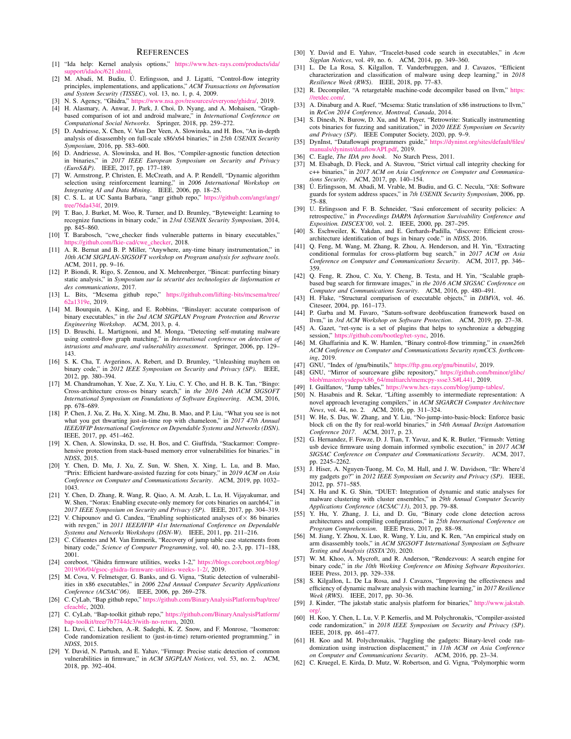#### **REFERENCES**

- [1] "Ida help: Kernel analysis options," https://www.hex-rays.com/products/ida/ support/idadoc/621.shtml.
- [2] M. Abadi, M. Budiu, Ú. Erlingsson, and J. Ligatti, "Control-flow integrity principles, implementations, and applications," *ACM Transactions on Information and System Security (TISSEC)*, vol. 13, no. 1, p. 4, 2009.
- [3] N. S. Agency, "Ghidra," https://www.nsa.gov/resources/everyone/ghidra/, 2019.
- [4] H. Alasmary, A. Anwar, J. Park, J. Choi, D. Nyang, and A. Mohaisen, "Graphbased comparison of iot and android malware," in *International Conference on Computational Social Networks*. Springer, 2018, pp. 259–272.
- [5] D. Andriesse, X. Chen, V. Van Der Veen, A. Slowinska, and H. Bos, "An in-depth analysis of disassembly on full-scale x86/x64 binaries," in *25th USENIX Security Symposium*, 2016, pp. 583–600.
- [6] D. Andriesse, A. Slowinska, and H. Bos, "Compiler-agnostic function detection in binaries," in *2017 IEEE European Symposium on Security and Privacy (EuroS&P)*. IEEE, 2017, pp. 177–189.
- [7] W. Armstrong, P. Christen, E. McCreath, and A. P. Rendell, "Dynamic algorithm selection using reinforcement learning," in 2006 International Workshop on Integrating AI and Data Mining. IEEE, 2006, pp. 18–25.<br>[8] C. S. L. at UC Santa Barbara, "angr github repo," https://github.com/angr/angr/
- tree/76da434f, 2019.
- [9] T. Bao, J. Burket, M. Woo, R. Turner, and D. Brumley, "Byteweight: Learning to recognize functions in binary code," in *23rd USENIX Security Symposium*, 2014, pp. 845–860.
- [10] T. Barabosch, "cwe checker finds vulnerable patterns in binary executables," https://github.com/fkie-cad/cwe\_checker, 2018.<br>
[11] A. R. Bernat and B. P. Miller, "Anywhere, any-time binary instrumentation," in
- *10th ACM SIGPLAN-SIGSOFT workshop on Program analysis for software tools*. ACM, 2011, pp. 9–16.
- [12] P. Biondi, R. Rigo, S. Zennou, and X. Mehrenberger, "Bincat: purrfecting binary static analysis," in *Symposium sur la sécurité des technologies de linformation et des communications*, 2017.
- [13] L. Bits, "Mcsema github repo," https://github.com/lifting-bits/mcsema/tree/ 62a1319e, 2019.
- [14] M. Bourquin, A. King, and E. Robbins, "Binslayer: accurate comparison of binary executables," in *the 2nd ACM SIGPLAN Program Protection and Reverse Engineering Workshop*. ACM, 2013, p. 4.
- [15] D. Bruschi, L. Martignoni, and M. Monga, "Detecting self-mutating malware using control-flow graph matching," in *International conference on detection of intrusions and malware, and vulnerability assessment*. Springer, 2006, pp. 129– 143.
- [16] S. K. Cha, T. Avgerinos, A. Rebert, and D. Brumley, "Unleashing mayhem on binary code," in *2012 IEEE Symposium on Security and Privacy (SP)*. IEEE, 2012, pp. 380–394.
- [17] M. Chandramohan, Y. Xue, Z. Xu, Y. Liu, C. Y. Cho, and H. B. K. Tan, "Bingo: Cross-architecture cross-os binary search," in *the 2016 24th ACM SIGSOFT International Symposium on Foundations of Software Engineering*. ACM, 2016, pp. 678–689.
- [18] P. Chen, J. Xu, Z. Hu, X. Xing, M. Zhu, B. Mao, and P. Liu, "What you see is not what you get thwarting just-in-time rop with chameleon," in *2017 47th Annual IEEE/IFIP International Conference on Dependable Systems and Networks (DSN)*. IEEE, 2017, pp. 451–462.
- [19] X. Chen, A. Slowinska, D. sse, H. Bos, and C. Giuffrida, "Stackarmor: Comprehensive protection from stack-based memory error vulnerabilities for binaries." in *NDSS*, 2015.
- [20] Y. Chen, D. Mu, J. Xu, Z. Sun, W. Shen, X. Xing, L. Lu, and B. Mao, "Ptrix: Efficient hardware-assisted fuzzing for cots binary," in *2019 ACM on Asia Conference on Computer and Communications Security*. ACM, 2019, pp. 1032– 1043.
- [21] Y. Chen, D. Zhang, R. Wang, R. Qiao, A. M. Azab, L. Lu, H. Vijayakumar, and W. Shen, "Norax: Enabling execute-only memory for cots binaries on aarch64," in *2017 IEEE Symposium on Security and Privacy (SP)*. IEEE, 2017, pp. 304–319.
- [22] V. Chipounov and G. Candea, "Enabling sophisticated analyses of × 86 binaries with revgen," in *2011 IEEE/IFIP 41st International Conference on Dependable Systems and Networks Workshops (DSN-W)*. IEEE, 2011, pp. 211–216.
- [23] C. Cifuentes and M. Van Emmerik, "Recovery of jump table case statements from binary code," *Science of Computer Programming*, vol. 40, no. 2-3, pp. 171–188, 2001.
- [24] coreboot, "Ghidra firmware utilities, weeks 1-2," https://blogs.coreboot.org/blog/ 2019/06/04/gsoc-ghidra-firmware-utilities-weeks-1-2/, 2019.
- [25] M. Cova, V. Felmetsger, G. Banks, and G. Vigna, "Static detection of vulnerabilities in x86 executables," in *2006 22nd Annual Computer Security Applications Conference (ACSAC'06)*. IEEE, 2006, pp. 269–278.
- [26] C. CyLab, "Bap github repo," https://github.com/BinaryAnalysisPlatform/bap/tree/ cfeacbfc, 2020.
- [27] C. CyLab, "Bap-toolkit github repo," https://github.com/BinaryAnalysisPlatform/ ap-toolkit/tree/7b7744dc3/with-no-return, 2020.
- [28] L. Davi, C. Liebchen, A.-R. Sadeghi, K. Z. Snow, and F. Monrose, "Isomeron: Code randomization resilient to (just-in-time) return-oriented programming." in *NDSS*, 2015.
- [29] Y. David, N. Partush, and E. Yahav, "Firmup: Precise static detection of common vulnerabilities in firmware," in *ACM SIGPLAN Notices*, vol. 53, no. 2. ACM, 2018, pp. 392–404.
- [30] Y. David and E. Yahav, "Tracelet-based code search in executables," in *Acm Sigplan Notices*, vol. 49, no. 6. ACM, 2014, pp. 349–360.
- [31] L. De La Rosa, S. Kilgallon, T. Vanderbruggen, and J. Cavazos, "Efficient characterization and classification of malware using deep learning," in *2018 Resilience Week (RWS)*. IEEE, 2018, pp. 77–83.
- [32] R. Decompiler, "A retargetable machine-code decompiler based on llvm," https: //retdec.com/.
- [33] A. Dinaburg and A. Ruef, "Mcsema: Static translation of x86 instructions to llvm," in *ReCon 2014 Conference, Montreal, Canada*, 2014.
- [34] S. Dinesh, N. Burow, D. Xu, and M. Payer, "Retrowrite: Statically instrumenting cots binaries for fuzzing and sanitization," in *2020 IEEE Symposium on Security and Privacy (SP)*. IEEE Computer Society, 2020, pp. 9–9.
- [35] DynInst, "Dataflowapi programmers guide," https://dyninst.org/sites/default/files/ manuals/dyninst/dataflowAPI.pdf, 2019.
- [36] C. Eagle, *The IDA pro book*. No Starch Press, 2011.
- [37] M. Elsabagh, D. Fleck, and A. Stavrou, "Strict virtual call integrity checking for c++ binaries," in *2017 ACM on Asia Conference on Computer and Communications Security*. ACM, 2017, pp. 140–154.
- [38] Ú. Erlingsson, M. Abadi, M. Vrable, M. Budiu, and G. C. Necula, "Xfi: Software guards for system address spaces," in *7th USENIX Security Symposium*, 2006, pp. 75–88.
- [39] U. Erlingsson and F. B. Schneider, "Sasi enforcement of security policies: A retrospective," in *Proceedings DARPA Information Survivability Conference and Exposition. DISCEX'00*, vol. 2. IEEE, 2000, pp. 287–295.
- [40] S. Eschweiler, K. Yakdan, and E. Gerhards-Padilla, "discovre: Efficient crossarchitecture identification of bugs in binary code." in *NDSS*, 2016.
- [41] Q. Feng, M. Wang, M. Zhang, R. Zhou, A. Henderson, and H. Yin, "Extracting conditional formulas for cross-platform bug search," in *2017 ACM on Asia Conference on Computer and Communications Security*. ACM, 2017, pp. 346– 359.
- [42] Q. Feng, R. Zhou, C. Xu, Y. Cheng, B. Testa, and H. Yin, "Scalable graphbased bug search for firmware images," in *the 2016 ACM SIGSAC Conference on*
- *Computer and Communications Security*. ACM, 2016, pp. 480–491. [43] H. Flake, "Structural comparison of executable objects," in *DIMVA*, vol. 46. Citeseer, 2004, pp. 161–173.
- [44] P. Garba and M. Favaro, "Saturn-software deobfuscation framework based on llvm," in *3rd ACM Workshop on Software Protection*. ACM, 2019, pp. 27–38.
- [45] A. Gazet, "ret-sync is a set of plugins that helps to synchronize a debugging session," https://github.com/bootleg/ret-sync, 2016.
- [46] M. Ghaffarinia and K. W. Hamlen, "Binary control-flow trimming," in *cnum26th ACM Conference on Computer and Communications Security nymCCS. forthcoming*, 2019.
- [47] GNU, "Index of /gnu/binutils," https://ftp.gnu.org/gnu/binutils/, 2019.
- [48] GNU, "Mirror of sourceware glibc repository," https://github.com/bminor/glibc/ blob/master/sysdeps/x86 64/multiarch/memcpy-ssse3.S#L441, 2019.
- [49] I. Guilfanov, "Jump tables," https://www.hex-rays.com/blog/jump-tables/
- [50] N. Hasabnis and R. Sekar, "Lifting assembly to intermediate representation: A novel approach leveraging compilers," in *ACM SIGARCH Computer Architecture News*, vol. 44, no. 2. ACM, 2016, pp. 311-324.<br>[51] W. He, S. Das, W. Zhang, and Y. Liu, "No-jump-into-basic-block: Enforce basic
- block cfi on the fly for real-world binaries," in *54th Annual Design Automation Conference 2017*. ACM, 2017, p. 23.
- [52] G. Hernandez, F. Fowze, D. J. Tian, T. Yavuz, and K. R. Butler, "Firmusb: Vetting usb device firmware using domain informed symbolic execution," in *2017 ACM SIGSAC Conference on Computer and Communications Security*. ACM, 2017, pp. 2245–2262.
- [53] J. Hiser, A. Nguyen-Tuong, M. Co, M. Hall, and J. W. Davidson, "Ilr: Where'd my gadgets go?" in *2012 IEEE Symposium on Security and Privacy (SP)*. IEEE, 2012, pp. 571–585.
- [54] X. Hu and K. G. Shin, "DUET: Integration of dynamic and static analyses for malware clustering with cluster ensembles," in *29th Annual Computer Security Applications Conference (ACSAC'13)*, 2013, pp. 79–88.
- [55] Y. Hu, Y. Zhang, J. Li, and D. Gu, "Binary code clone detection across architectures and compiling configurations," in *25th International Conference on Program Comprehension*. IEEE Press, 2017, pp. 88–98.
- [56] M. Jiang, Y. Zhou, X. Luo, R. Wang, Y. Liu, and K. Ren, "An empirical study on arm disassembly tools," in *ACM SIGSOFT International Symposium on Software Testing and Analysis (ISSTA'20)*, 2020.
- [57] W. M. Khoo, A. Mycroft, and R. Anderson, "Rendezvous: A search engine for binary code," in *the 10th Working Conference on Mining Software Repositories*. IEEE Press, 2013, pp. 329–338.
- [58] S. Kilgallon, L. De La Rosa, and J. Cavazos, "Improving the effectiveness and efficiency of dynamic malware analysis with machine learning," in *2017 Resilience Week (RWS)*. IEEE, 2017, pp. 30–36.
- [59] J. Kinder, "The jakstab static analysis platform for binaries," http://www.jakstab. org/.
- [60] H. Koo, Y. Chen, L. Lu, V. P. Kemerlis, and M. Polychronakis, "Compiler-assisted code randomization," in *2018 IEEE Symposium on Security and Privacy (SP)*. IEEE, 2018, pp. 461–477.
- [61] H. Koo and M. Polychronakis, "Juggling the gadgets: Binary-level code randomization using instruction displacement," in *11th ACM on Asia Conference on Computer and Communications Security*. ACM, 2016, pp. 23–34.
- [62] C. Kruegel, E. Kirda, D. Mutz, W. Robertson, and G. Vigna, "Polymorphic worm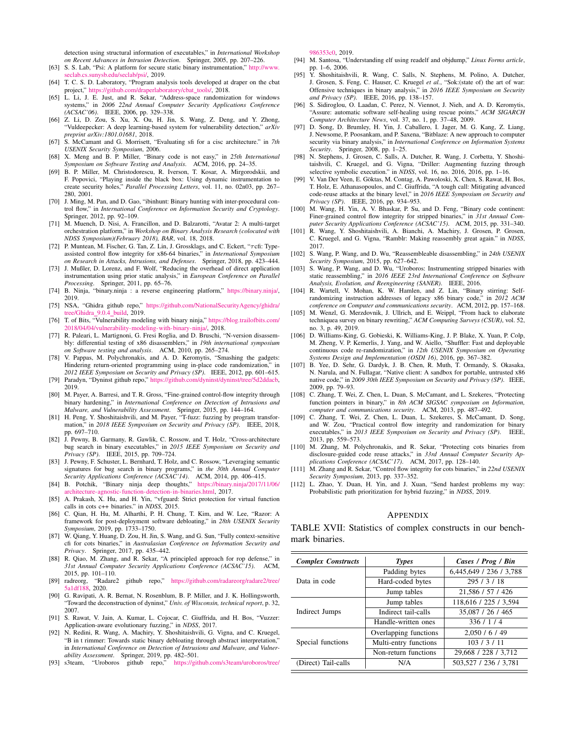detection using structural information of executables," in *International Workshop on Recent Advances in Intrusion Detection*. Springer, 2005, pp. 207–226.

- [63] S. S. Lab, "Psi: A platform for secure static binary instrumentation," http://www. seclab.cs.sunysb.edu/seclab/psi/, 2019.
- [64] T. C. S. D. Laboratory, "Program analysis tools developed at draper on the cbat roject," https://github.com/draperlaboratory/cbat\_tools/, 2018.
- [65] L. Li, J. E. Just, and R. Sekar, "Address-space randomization for windows systems," in *2006 22nd Annual Computer Security Applications Conference (ACSAC'06)*. IEEE, 2006, pp. 329–338.
- [66] Z. Li, D. Zou, S. Xu, X. Ou, H. Jin, S. Wang, Z. Deng, and Y. Zhong, "Vuldeepecker: A deep learning-based system for vulnerability detection," *arXiv preprint arXiv:1801.01681*, 2018.
- [67] S. McCamant and G. Morrisett, "Evaluating sfi for a cisc architecture." in *7th USENIX Security Symposium*, 2006. [68] X. Meng and B. P. Miller, "Binary code is not easy," in *25th International*
- *Symposium on Software Testing and Analysis*. ACM, 2016, pp. 24–35.
- [69] B. P. Miller, M. Christodorescu, R. Iverson, T. Kosar, A. Mirgorodskii, and F. Popovici, "Playing inside the black box: Using dynamic instrumentation to create security holes," *Parallel Processing Letters*, vol. 11, no. 02n03, pp. 267– 280, 2001.
- [70] J. Ming, M. Pan, and D. Gao, "ibinhunt: Binary hunting with inter-procedural control flow," in *International Conference on Information Security and Cryptology*. Springer, 2012, pp. 92–109.
- [71] M. Muench, D. Nisi, A. Francillon, and D. Balzarotti, "Avatar 2: A multi-target orchestration platform," in *Workshop on Binary Analysis Research (colocated with NDSS Symposium)(February 2018), BAR*, vol. 18, 2018.
- [72] P. Muntean, M. Fischer, G. Tan, Z. Lin, J. Grossklags, and C. Eckert, "τcfi: Typeassisted control flow integrity for x86-64 binaries," in *International Symposium on Research in Attacks, Intrusions, and Defenses*. Springer, 2018, pp. 423–444.
- [73] J. Mußler, D. Lorenz, and F. Wolf, "Reducing the overhead of direct application instrumentation using prior static analysis," in *European Conference on Parallel Processing*. Springer, 2011, pp. 65–76.
- [74] B. Ninja, "binary.ninja : a reverse engineering platform," https://binary.ninja/, 2019.
- [75] NSA, "Ghidra github repo," https://github.com/NationalSecurityAgency/ghidra/ tree/Ghidra 9.0.4 build, 2019.
- [76] T. of Bits, "Vulnerability modeling with binary ninja," https://blog.trailofbits.com/ 2018/04/04/vulnerability-modeling-with-binary-ninja/, 2018.
- [77] R. Paleari, L. Martignoni, G. Fresi Roglia, and D. Bruschi, "N-version disassembly: differential testing of x86 disassemblers," in *19th international symposium on Software testing and analysis*. ACM, 2010, pp. 265–274.
- [78] V. Pappas, M. Polychronakis, and A. D. Keromytis, "Smashing the gadgets: Hindering return-oriented programming using in-place code randomization," in *2012 IEEE Symposium on Security and Privacy (SP)*. IEEE, 2012, pp. 601–615.
- [79] Paradyn, "Dyninst github repo," https://github.com/dyninst/dyninst/tree/5d2ddacb, 2019.
- [80] M. Payer, A. Barresi, and T. R. Gross, "Fine-grained control-flow integrity through binary hardening," in *International Conference on Detection of Intrusions and Malware, and Vulnerability Assessment*. Springer, 2015, pp. 144–164.
- [81] H. Peng, Y. Shoshitaishvili, and M. Payer, "T-fuzz: fuzzing by program transformation," in *2018 IEEE Symposium on Security and Privacy (SP)*. IEEE, 2018, pp. 697–710.
- [82] J. Pewny, B. Garmany, R. Gawlik, C. Rossow, and T. Holz, "Cross-architecture bug search in binary executables," in *2015 IEEE Symposium on Security and Privacy (SP)*. IEEE, 2015, pp. 709–724.
- [83] J. Pewny, F. Schuster, L. Bernhard, T. Holz, and C. Rossow, "Leveraging semantic signatures for bug search in binary programs," in *the 30th Annual Computer Security Applications Conference (ACSAC'14)*. ACM, 2014, pp. 406–415.
- [84] B. Potchik, "Binary ninja deep thoughts," https://binary.ninja/2017/11/06/ chitecture-agnostic-function-detection-in-binaries.html, 2017.
- [85] A. Prakash, X. Hu, and H. Yin, "vfguard: Strict protection for virtual function calls in cots c++ binaries." in *NDSS*, 2015.
- [86] C. Qian, H. Hu, M. Alharthi, P. H. Chung, T. Kim, and W. Lee, "Razor: A framework for post-deployment software debloating," in *28th USENIX Security Symposium*, 2019, pp. 1733–1750.
- [87] W. Qiang, Y. Huang, D. Zou, H. Jin, S. Wang, and G. Sun, "Fully context-sensitive cfi for cots binaries," in *Australasian Conference on Information Security and Privacy*. Springer, 2017, pp. 435–442.
- [88] R. Qiao, M. Zhang, and R. Sekar, "A principled approach for rop defense," in *31st Annual Computer Security Applications Conference (ACSAC'15)*. ACM, 2015, pp. 101–110.
- [89] radreorg, "Radare2 github repo," https://github.com/radareorg/radare2/tree/ a1df188, 2020.
- [90] G. Ravipati, A. R. Bernat, N. Rosenblum, B. P. Miller, and J. K. Hollingsworth, "Toward the deconstruction of dyninst," *Univ. of Wisconsin, technical report*, p. 32, 2007.
- [91] S. Rawat, V. Jain, A. Kumar, L. Cojocar, C. Giuffrida, and H. Bos, "Vuzzer: Application-aware evolutionary fuzzing," in *NDSS*, 2017.
- [92] N. Redini, R. Wang, A. Machiry, Y. Shoshitaishvili, G. Vigna, and C. Kruegel, "B in t rimmer: Towards static binary debloating through abstract interpretation," in *International Conference on Detection of Intrusions and Malware, and Vulnerability Assessment*. Springer, 2019, pp. 482–501.
- [93] s3team, "Uroboros github repo," https://github.com/s3team/uroboros/tree/

986353c0, 2019.

- [94] M. Santosa, "Understanding elf using readelf and objdump," *Linux Forms article*, pp. 1–6, 2006.
- [95] Y. Shoshitaishvili, R. Wang, C. Salls, N. Stephens, M. Polino, A. Dutcher, J. Grosen, S. Feng, C. Hauser, C. Kruegel *et al.*, "Sok:(state of) the art of war: Offensive techniques in binary analysis," in *2016 IEEE Symposium on Security and Privacy (SP)*. IEEE, 2016, pp. 138–157.
- [96] S. Sidiroglou, O. Laadan, C. Perez, N. Viennot, J. Nieh, and A. D. Keromytis, "Assure: automatic software self-healing using rescue points," *ACM SIGARCH Computer Architecture News*, vol. 37, no. 1, pp. 37–48, 2009.
- [97] D. Song, D. Brumley, H. Yin, J. Caballero, I. Jager, M. G. Kang, Z. Liang, J. Newsome, P. Poosankam, and P. Saxena, "Bitblaze: A new approach to computer security via binary analysis," in *International Conference on Information Systems Security*. Springer, 2008, pp. 1–25.
- [98] N. Stephens, J. Grosen, C. Salls, A. Dutcher, R. Wang, J. Corbetta, Y. Shoshitaishvili, C. Kruegel, and G. Vigna, "Driller: Augmenting fuzzing through selective symbolic execution." in *NDSS*, vol. 16, no. 2016, 2016, pp. 1–16.
- [99] V. Van Der Veen, E. Göktas, M. Contag, A. Pawoloski, X. Chen, S. Rawat, H. Bos, T. Holz, E. Athanasopoulos, and C. Giuffrida, "A tough call: Mitigating advanced code-reuse attacks at the binary level," in *2016 IEEE Symposium on Security and Privacy (SP)*. IEEE, 2016, pp. 934–953.
- [100] M. Wang, H. Yin, A. V. Bhaskar, P. Su, and D. Feng, "Binary code continent: Finer-grained control flow integrity for stripped binaries," in *31st Annual Computer Security Applications Conference (ACSAC'15)*. ACM, 2015, pp. 331–340.
- [101] R. Wang, Y. Shoshitaishvili, A. Bianchi, A. Machiry, J. Grosen, P. Grosen, C. Kruegel, and G. Vigna, "Ramblr: Making reassembly great again." in *NDSS*, 2017.
- [102] S. Wang, P. Wang, and D. Wu, "Reassembleable disassembling," in *24th USENIX Security Symposium*, 2015, pp. 627–642.
- [103] S. Wang, P. Wang, and D. Wu, "Uroboros: Instrumenting stripped binaries with static reassembling," in *2016 IEEE 23rd International Conference on Software Analysis, Evolution, and Reengineering (SANER)*. IEEE, 2016.
- [104] R. Wartell, V. Mohan, K. W. Hamlen, and Z. Lin, "Binary stirring: Self-randomizing instruction addresses of legacy x86 binary code," in *2012 ACM conference on Computer and communications security*. ACM, 2012, pp. 157–168.
- [105] M. Wenzl, G. Merzdovnik, J. Ullrich, and E. Weippl, "From hack to elaborate techniquea survey on binary rewriting," *ACM Computing Surveys (CSUR)*, vol. 52, no. 3, p. 49, 2019.
- [106] D. Williams-King, G. Gobieski, K. Williams-King, J. P. Blake, X. Yuan, P. Colp, M. Zheng, V. P. Kemerlis, J. Yang, and W. Aiello, "Shuffler: Fast and deployable continuous code re-randomization," in *12th USENIX Symposium on Operating Systems Design and Implementation (OSDI 16)*, 2016, pp. 367–382.
- [107] B. Yee, D. Sehr, G. Dardyk, J. B. Chen, R. Muth, T. Ormandy, S. Okasaka, N. Narula, and N. Fullagar, "Native client: A sandbox for portable, untrusted x86 native code," in *2009 30th IEEE Symposium on Security and Privacy (SP)*. IEEE, 2009, pp. 79–93.
- [108] C. Zhang, T. Wei, Z. Chen, L. Duan, S. McCamant, and L. Szekeres, "Protecting function pointers in binary," in *8th ACM SIGSAC symposium on Information, computer and communications security*. ACM, 2013, pp. 487–492.
- [109] C. Zhang, T. Wei, Z. Chen, L. Duan, L. Szekeres, S. McCamant, D. Song, and W. Zou, "Practical control flow integrity and randomization for binary executables," in *2013 IEEE Symposium on Security and Privacy (SP)*. IEEE, 2013, pp. 559–573.
- [110] M. Zhang, M. Polychronakis, and R. Sekar, "Protecting cots binaries from disclosure-guided code reuse attacks," in *33rd Annual Computer Security Applications Conference (ACSAC'17)*. ACM, 2017, pp. 128–140.
- [111] M. Zhang and R. Sekar, "Control flow integrity for cots binaries," in *22nd USENIX Security Symposium*, 2013, pp. 337–352.
- [112] L. Zhao, Y. Duan, H. Yin, and J. Xuan, "Send hardest problems my way: Probabilistic path prioritization for hybrid fuzzing," in *NDSS*, 2019.

#### APPENDIX

TABLE XVII: Statistics of complex constructs in our benchmark binaries.

| <b>Complex Constructs</b> | <b>Types</b>          | Cases / Prog / Bin      |
|---------------------------|-----------------------|-------------------------|
|                           | Padding bytes         | 6,445,649 / 236 / 3,788 |
| Data in code              | Hard-coded bytes      | 295/3/18                |
|                           | Jump tables           | 21,586 / 57 / 426       |
|                           | Jump tables           | 118,616 / 225 / 3,594   |
| Indirect Jumps            | Indirect tail-calls   | 35,087 / 26 / 465       |
|                           | Handle-written ones   | 336/1/4                 |
|                           | Overlapping functions | 2,050/6/49              |
| Special functions         | Multi-entry functions | 103/3/11                |
|                           | Non-return functions  | 29,668 / 228 / 3,712    |
| (Direct) Tail-calls       | N/A                   | 503,527 / 236 / 3,781   |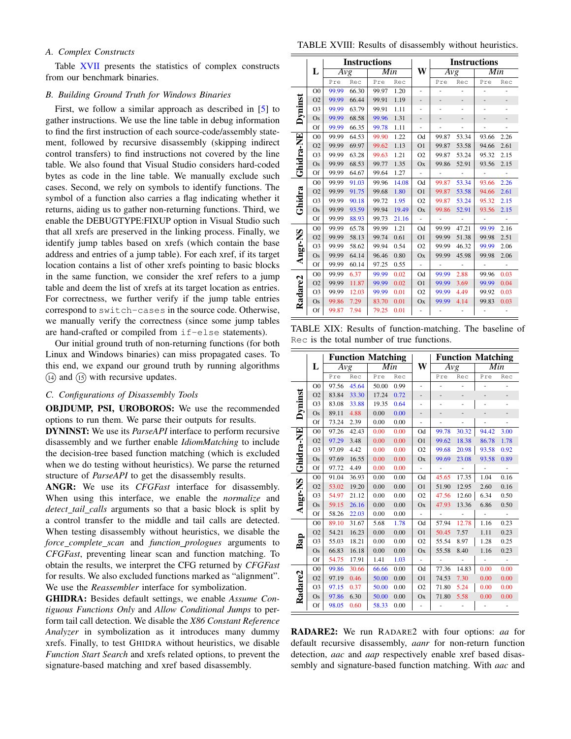## *A. Complex Constructs*

Table XVII presents the statistics of complex constructs from our benchmark binaries.

#### *B. Building Ground Truth for Windows Binaries*

First, we follow a similar approach as described in [5] to gather instructions. We use the line table in debug information to find the first instruction of each source-code/assembly statement, followed by recursive disassembly (skipping indirect control transfers) to find instructions not covered by the line table. We also found that Visual Studio considers hard-coded bytes as code in the line table. We manually exclude such cases. Second, we rely on symbols to identify functions. The symbol of a function also carries a flag indicating whether it returns, aiding us to gather non-returning functions. Third, we enable the DEBUGTYPE:FIXUP option in Visual Studio such that all xrefs are preserved in the linking process. Finally, we identify jump tables based on xrefs (which contain the base address and entries of a jump table). For each xref, if its target location contains a list of other xrefs pointing to basic blocks in the same function, we consider the xref refers to a jump table and deem the list of xrefs at its target location as entries. For correctness, we further verify if the jump table entries correspond to switch-cases in the source code. Otherwise, we manually verify the correctness (since some jump tables are hand-crafted or compiled from if-else statements).

Our initial ground truth of non-returning functions (for both Linux and Windows binaries) can miss propagated cases. To this end, we expand our ground truth by running algorithms  $(14)$  and  $(15)$  with recursive updates.

## *C. Configurations of Disassembly Tools*

OBJDUMP, PSI, UROBOROS: We use the recommended options to run them. We parse their outputs for results.

DYNINST: We use its *ParseAPI* interface to perform recursive disassembly and we further enable *IdiomMatching* to include the decision-tree based function matching (which is excluded when we do testing without heuristics). We parse the returned structure of *ParseAPI* to get the disassembly results.

ANGR: We use its *CFGFast* interface for disassembly. When using this interface, we enable the *normalize* and *detect tail calls* arguments so that a basic block is split by a control transfer to the middle and tail calls are detected. When testing disassembly without heuristics, we disable the *force complete scan* and *function prologues* arguments to *CFGFast*, preventing linear scan and function matching. To obtain the results, we interpret the CFG returned by *CFGFast* for results. We also excluded functions marked as "alignment". We use the *Reassembler* interface for symbolization.

GHIDRA: Besides default settings, we enable *Assume Contiguous Functions Only* and *Allow Conditional Jumps* to perform tail call detection. We disable the *X86 Constant Reference Analyzer* in symbolization as it introduces many dummy xrefs. Finally, to test GHIDRA without heuristics, we disable *Function Start Search* and xrefs related options, to prevent the signature-based matching and xref based disassembly.

TABLE XVIII: Results of disassembly without heuristics.

|           |                |       |       | <b>Instructions</b> |       |                |                |                          | <b>Instructions</b>      |                          |
|-----------|----------------|-------|-------|---------------------|-------|----------------|----------------|--------------------------|--------------------------|--------------------------|
|           | L              | Avg   |       | Min                 |       | W              | Avg            |                          | Min                      |                          |
|           |                | Pre   | Rec   | Pre                 | Rec   |                | Pre            | Rec                      | Pre                      | Rec                      |
|           | O <sub>0</sub> | 99.99 | 66.30 | 99.97               | 1.20  |                |                |                          | ۰                        |                          |
|           | O <sub>2</sub> | 99.99 | 66.44 | 99.91               | 1.19  |                |                |                          |                          |                          |
| Dyninst   | O <sub>3</sub> | 99.99 | 63.79 | 99.91               | 1.11  |                | L,             |                          |                          |                          |
|           | Os             | 99.99 | 68.58 | 99.96               | 1.31  |                | -              |                          |                          |                          |
|           | Of             | 99.99 | 66.35 | 99.78               | 1.11  |                | ÷,             |                          | -                        |                          |
|           | O <sub>0</sub> | 99.99 | 64.53 | 99.90               | 1.22  | Od             | 99.87          | 53.34                    | 93.66                    | 2.26                     |
| Ghidra-NE | O <sub>2</sub> | 99.99 | 69.97 | 99.62               | 1.13  | O <sub>1</sub> | 99.87          | 53.58                    | 94.66                    | 2.61                     |
|           | O <sub>3</sub> | 99.99 | 63.28 | 99.63               | 1.21  | O <sub>2</sub> | 99.87          | 53.24                    | 95.32                    | 2.15                     |
|           | <b>Os</b>      | 99.99 | 68.53 | 99.77               | 1.35  | Ox             | 99.86          | 52.91                    | 93.56                    | 2.15                     |
|           | Of             | 99.99 | 64.67 | 99.64               | 1.27  |                | $\frac{1}{2}$  | ÷,                       | $\overline{\phantom{m}}$ |                          |
|           | O <sub>0</sub> | 99.99 | 91.03 | 99.96               | 14.08 | Od             | 99.87          | 53.34                    | 93.66                    | 2.26                     |
| Ghidra    | O <sub>2</sub> | 99.99 | 91.75 | 99.68               | 1.80  | O <sub>1</sub> | 99.87          | 53.58                    | 94.66                    | 2.61                     |
|           | O <sub>3</sub> | 99.99 | 90.18 | 99.72               | 1.95  | O <sub>2</sub> | 99.87          | 53.24                    | 95.32                    | 2.15                     |
|           | Os             | 99.99 | 93.59 | 99.94               | 19.49 | Ox             | 99.86          | 52.91                    | 93.56                    | 2.15                     |
|           | Of             | 99.99 | 88.93 | 99.73               | 21.16 | ä,             | ÷,             |                          | $\blacksquare$           |                          |
|           | O <sub>0</sub> | 99.99 | 65.78 | 99.99               | 1.21  | Od             | 99.99          | 47.21                    | 99.99                    | 2.16                     |
|           | O <sub>2</sub> | 99.99 | 58.13 | 99.74               | 0.61  | O <sub>1</sub> | 99.99          | 51.38                    | 99.98                    | 2.51                     |
| Angr-NS   | O <sub>3</sub> | 99.99 | 58.62 | 99.94               | 0.54  | O2             | 99.99          | 46.32                    | 99.99                    | 2.06                     |
|           | <b>Os</b>      | 99.99 | 64.14 | 96.46               | 0.80  | Ox             | 99.99          | 45.98                    | 99.98                    | 2.06                     |
|           | Of             | 99.99 | 60.14 | 97.25               | 0.55  | $\blacksquare$ | $\blacksquare$ | $\overline{\phantom{a}}$ | $\overline{\phantom{a}}$ | $\overline{\phantom{a}}$ |
|           | O <sub>0</sub> | 99.99 | 6.37  | 99.99               | 0.02  | Od             | 99.99          | 2.88                     | 99.96                    | 0.03                     |
|           | O <sub>2</sub> | 99.99 | 11.87 | 99.99               | 0.02  | O <sub>1</sub> | 99.99          | 3.69                     | 99.99                    | 0.04                     |
|           | O <sub>3</sub> | 99.99 | 12.03 | 99.99               | 0.01  | O <sub>2</sub> | 99.99          | 4.49                     | 99.92                    | 0.03                     |
| Radare2   | Os             | 99.86 | 7.29  | 83.70               | 0.01  | Ox             | 99.99          | 4.14                     | 99.83                    | 0.03                     |
|           | Of             | 99.87 | 7.94  | 79.25               | 0.01  |                |                |                          |                          |                          |

TABLE XIX: Results of function-matching. The baseline of Rec is the total number of true functions.

|           |                |       |       | <b>Function Matching</b> |      |                          |                  |                | <b>Function Matching</b> |                          |
|-----------|----------------|-------|-------|--------------------------|------|--------------------------|------------------|----------------|--------------------------|--------------------------|
|           | L              | Avg   |       | Min                      |      | W                        | $\overline{Avg}$ |                | Min                      |                          |
|           |                | Pre   | Rec   | Pre                      | Rec  |                          | Pre              | Rec            | Pre                      | Rec                      |
|           | O <sub>0</sub> | 97.56 | 45.64 | 50.00                    | 0.99 |                          | ÷                | ÷,             | ٠                        |                          |
|           | O <sub>2</sub> | 83.84 | 33.30 | 17.24                    | 0.72 |                          |                  |                |                          |                          |
|           | O <sub>3</sub> | 83.08 | 33.88 | 19.35                    | 0.64 |                          |                  |                |                          |                          |
| Dyninst   | <b>Os</b>      | 89.11 | 4.88  | 0.00                     | 0.00 |                          | -                |                |                          |                          |
|           | Of             | 73.24 | 2.39  | 0.00                     | 0.00 |                          | ÷                | ä,             | ÷,                       |                          |
| Ghidra-NE | O <sub>0</sub> | 97.26 | 42.43 | 0.00                     | 0.00 | Od                       | 99.78            | 30.32          | 94.42                    | 3.00                     |
|           | O <sub>2</sub> | 97.29 | 3.48  | 0.00                     | 0.00 | O <sub>1</sub>           | 99.62            | 18.38          | 86.78                    | 1.78                     |
|           | O <sub>3</sub> | 97.09 | 4.42  | 0.00                     | 0.00 | O2                       | 99.68            | 20.98          | 93.58                    | 0.92                     |
|           | $\rm Os$       | 97.69 | 16.55 | 0.00                     | 0.00 | Ox                       | 99.69            | 23.08          | 93.58                    | 0.89                     |
|           | Of             | 97.72 | 4.49  | 0.00                     | 0.00 |                          | ÷,               | ÷,             | $\overline{\phantom{a}}$ |                          |
|           | O <sub>0</sub> | 91.04 | 36.93 | 0.00                     | 0.00 | Od                       | 45.65            | 17.35          | 1.04                     | 0.16                     |
| Angr-NS   | O <sub>2</sub> | 53.02 | 19.20 | 0.00                     | 0.00 | O <sub>1</sub>           | 51.90            | 12.95          | 2.60                     | 0.16                     |
|           | O <sub>3</sub> | 54.97 | 21.12 | 0.00                     | 0.00 | O2                       | 47.56            | 12.60          | 6.34                     | 0.50                     |
|           | <b>Os</b>      | 59.15 | 26.16 | 0.00                     | 0.00 | Ox                       | 47.93            | 13.36          | 6.86                     | 0.50                     |
|           | Of             | 58.26 | 22.03 | 0.00                     | 0.00 |                          | L,               | ÷,             | ä,                       |                          |
|           | O <sub>0</sub> | 89.10 | 31.67 | 5.68                     | 1.78 | Od                       | 57.94            | 12.78          | 1.16                     | 0.23                     |
|           | O <sub>2</sub> | 54.21 | 16.23 | 0.00                     | 0.00 | O <sub>1</sub>           | 50.45            | 7.57           | 1.11                     | 0.23                     |
| Bap       | O <sub>3</sub> | 55.03 | 18.21 | 0.00                     | 0.00 | O2                       | 55.54            | 8.97           | 1.28                     | 0.25                     |
|           | <b>Os</b>      | 66.83 | 16.18 | 0.00                     | 0.00 | Ox                       | 55.58            | 8.40           | 1.16                     | 0.23                     |
|           | Of             | 54.75 | 17.91 | 1.41                     | 1.03 | $\overline{\phantom{0}}$ | $\frac{1}{2}$    | $\blacksquare$ | $\frac{1}{2}$            | $\overline{\phantom{a}}$ |
|           | O <sub>0</sub> | 99.86 | 30.66 | 66.66                    | 0.00 | Od                       | 77.36            | 14.83          | 0.00                     | 0.00                     |
|           | O <sub>2</sub> | 97.19 | 0.46  | 50.00                    | 0.00 | O <sub>1</sub>           | 74.53            | 7.30           | 0.00                     | 0.00                     |
|           | O <sub>3</sub> | 97.15 | 0.37  | 50.00                    | 0.00 | O <sub>2</sub>           | 71.80            | 5.24           | 0.00                     | 0.00                     |
| Radare2   | <b>Os</b>      | 97.86 | 6.30  | 50.00                    | 0.00 | Ox                       | 71.80            | 5.58           | 0.00                     | 0.00                     |
|           | Of             | 98.05 | 0.60  | 58.33                    | 0.00 |                          |                  |                |                          |                          |

RADARE2: We run RADARE2 with four options: *aa* for default recursive disassembly, *aanr* for non-return function detection, *aac* and *aap* respectively enable xref based disassembly and signature-based function matching. With *aac* and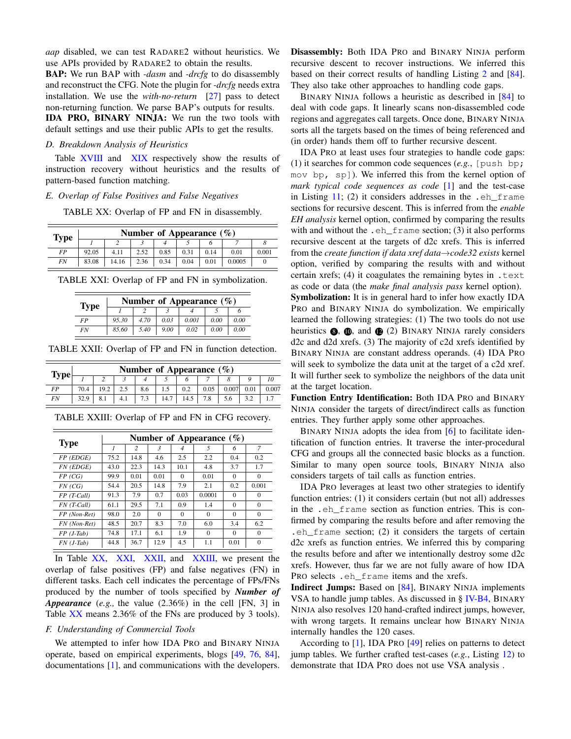*aap* disabled, we can test RADARE2 without heuristics. We use APIs provided by RADARE2 to obtain the results.

BAP: We run BAP with *-dasm* and *-drcfg* to do disassembly and reconstruct the CFG. Note the plugin for *-drcfg* needs extra installation. We use the *with-no-return* [27] pass to detect non-returning function. We parse BAP's outputs for results. IDA PRO, BINARY NINJA: We run the two tools with default settings and use their public APIs to get the results.

#### *D. Breakdown Analysis of Heuristics*

Table XVIII and XIX respectively show the results of instruction recovery without heuristics and the results of pattern-based function matching.

#### *E. Overlap of False Positives and False Negatives*

TABLE XX: Overlap of FP and FN in disassembly.

| <b>Type</b> |       | Number of Appearance $(\%)$ |      |      |      |      |        |       |  |  |  |
|-------------|-------|-----------------------------|------|------|------|------|--------|-------|--|--|--|
|             |       | ◠                           |      |      |      |      |        |       |  |  |  |
| FP          | 92.05 | 4.11                        | 2.52 | 0.85 | 0.31 | 0.14 | 0.01   | 0.001 |  |  |  |
| <b>FN</b>   | 83.08 | 14.16                       | 2.36 | 0.34 | 0.04 | 0.01 | 0.0005 |       |  |  |  |

TABLE XXI: Overlap of FP and FN in symbolization.

| <b>Type</b> | Number of Appearance $(\%)$ |      |      |       |      |      |  |  |  |
|-------------|-----------------------------|------|------|-------|------|------|--|--|--|
|             |                             |      |      |       |      |      |  |  |  |
| FP          | 95.30                       | 4.70 | 0.03 | 0.001 | 0.00 | 0.00 |  |  |  |
| <b>FN</b>   | 85.60                       | 5.40 | 9.00 | 0.02  | 0.00 | 0.00 |  |  |  |

TABLE XXII: Overlap of FP and FN in function detection.

| <b>Type</b> |      | Number of Appearance $(\%)$ |     |     |      |      |      |       |      |       |
|-------------|------|-----------------------------|-----|-----|------|------|------|-------|------|-------|
|             |      |                             |     |     |      |      |      |       |      |       |
| FP          | 70.4 | 19.2                        |     | 8.6 |      | 0.2  | 0.05 | 0.007 | 0.01 | 0.007 |
| FN          | 32.9 | 8.1                         | 4.1 |     | 14.1 | 14.5 |      |       |      |       |

| <b>Type</b>           |      |      |                         |          | Number of Appearance $(\% )$ |          |          |
|-----------------------|------|------|-------------------------|----------|------------------------------|----------|----------|
|                       |      | 2    | $\overline{\mathbf{3}}$ | 4        | 5                            | 6        | 7        |
| $FP$ ( $EDGE$ )       | 75.2 | 14.8 | 4.6                     | 2.5      | 2.2                          | 0.4      | 0.2      |
| FN (EDGE)             | 43.0 | 22.3 | 14.3                    | 10.1     | 4.8                          | 3.7      | 1.7      |
| FP (CG)               | 99.9 | 0.01 | 0.01                    | $\Omega$ | 0.01                         | $\Omega$ | $\Omega$ |
| FN (CG)               | 54.4 | 20.5 | 14.8                    | 7.9      | 2.1                          | 0.2      | 0.001    |
| $FP$ (T-Call)         | 91.3 | 7.9  | 0.7                     | 0.03     | 0.0001                       | $\Omega$ | $\Omega$ |
| $FN$ (T-Call)         | 61.1 | 29.5 | 7.1                     | 0.9      | 1.4                          | $\Omega$ | $\Omega$ |
| FP (Non-Ret)          | 98.0 | 2.0  | $\Omega$                | $\Omega$ | $\Omega$                     | $\Omega$ | $\Omega$ |
| FN (Non-Ret)          | 48.5 | 20.7 | 8.3                     | 7.0      | 6.0                          | 3.4      | 6.2      |
| $FP( J-Tab)$          | 74.8 | 17.1 | 6.1                     | 1.9      | $\Omega$                     | $\Omega$ | $\Omega$ |
| $FN$ ( <i>J</i> -Tab) | 44.8 | 36.7 | 12.9                    | 4.5      | 1.1                          | 0.01     | $\Omega$ |

TABLE XXIII: Overlap of FP and FN in CFG recovery.

In Table XX, XXI, XXII, and XXIII, we present the overlap of false positives (FP) and false negatives (FN) in different tasks. Each cell indicates the percentage of FPs/FNs produced by the number of tools specified by *Number of Appearance* (*e.g.,* the value (2.36%) in the cell [FN, 3] in Table XX means 2.36% of the FNs are produced by 3 tools).

# *F. Understanding of Commercial Tools*

We attempted to infer how IDA PRO and BINARY NINJA operate, based on empirical experiments, blogs [49, 76, 84], documentations [1], and communications with the developers. Disassembly: Both IDA PRO and BINARY NINJA perform recursive descent to recover instructions. We inferred this based on their correct results of handling Listing 2 and [84]. They also take other approaches to handling code gaps.

BINARY NINJA follows a heuristic as described in [84] to deal with code gaps. It linearly scans non-disassembled code regions and aggregates call targets. Once done, BINARY NINJA sorts all the targets based on the times of being referenced and (in order) hands them off to further recursive descent.

IDA PRO at least uses four strategies to handle code gaps: (1) it searches for common code sequences (*e.g.*, [push bp; mov bp, sp]). We inferred this from the kernel option of *mark typical code sequences as code* [1] and the test-case in Listing  $11$ ; (2) it considers addresses in the .eh frame sections for recursive descent. This is inferred from the *enable EH analysis* kernel option, confirmed by comparing the results with and without the .eh\_frame section; (3) it also performs recursive descent at the targets of d2c xrefs. This is inferred from the *create function if data xref data*→*code32 exists* kernel option, verified by comparing the results with and without certain xrefs; (4) it coagulates the remaining bytes in .text as code or data (the *make final analysis pass* kernel option). Symbolization: It is in general hard to infer how exactly IDA PRO and BINARY NINJA do symbolization. We empirically learned the following strategies: (1) The two tools do not use heuristics  $\bullet$ ,  $\bullet$ , and  $\bullet$  (2) BINARY NINJA rarely considers d2c and d2d xrefs. (3) The majority of c2d xrefs identified by BINARY NINJA are constant address operands. (4) IDA PRO will seek to symbolize the data unit at the target of a c2d xref. It will further seek to symbolize the neighbors of the data unit at the target location.

Function Entry Identification: Both IDA PRO and BINARY NINJA consider the targets of direct/indirect calls as function entries. They further apply some other approaches.

BINARY NINJA adopts the idea from [6] to facilitate identification of function entries. It traverse the inter-procedural CFG and groups all the connected basic blocks as a function. Similar to many open source tools, BINARY NINJA also considers targets of tail calls as function entries.

IDA PRO leverages at least two other strategies to identify function entries: (1) it considers certain (but not all) addresses in the .eh\_frame section as function entries. This is confirmed by comparing the results before and after removing the .eh\_frame section; (2) it considers the targets of certain d2c xrefs as function entries. We inferred this by comparing the results before and after we intentionally destroy some d2c xrefs. However, thus far we are not fully aware of how IDA PRO selects.  $eh$  frame items and the xrefs.

Indirect Jumps: Based on [84], BINARY NINJA implements VSA to handle jump tables. As discussed in § IV-B4, BINARY NINJA also resolves 120 hand-crafted indirect jumps, however, with wrong targets. It remains unclear how BINARY NINJA internally handles the 120 cases.

According to [1], IDA PRO [49] relies on patterns to detect jump tables. We further crafted test-cases (*e.g.*, Listing 12) to demonstrate that IDA PRO does not use VSA analysis .